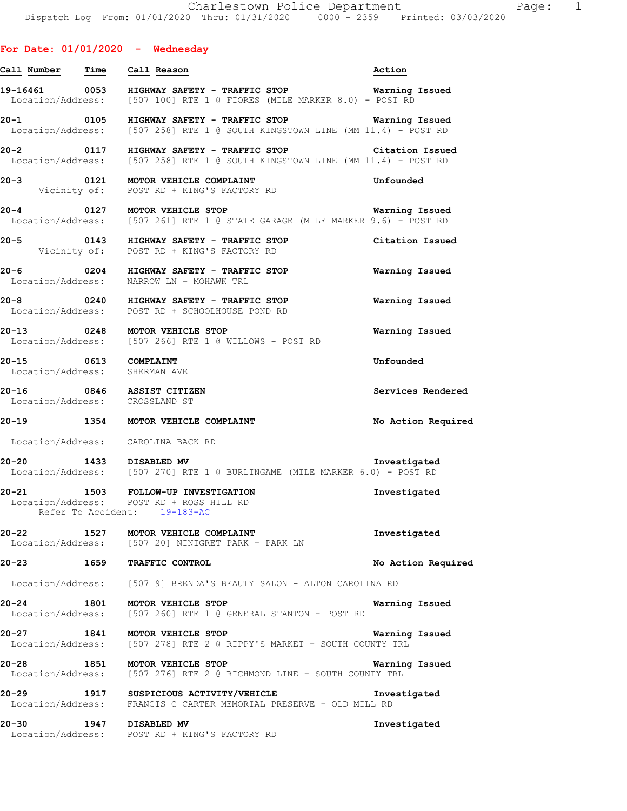# **Call Number Time Call Reason Action 19-16461 0053 HIGHWAY SAFETY - TRAFFIC STOP Warning Issued**  Location/Address: [507 100] RTE 1 @ FIORES (MILE MARKER 8.0) - POST RD **20-1 0105 HIGHWAY SAFETY - TRAFFIC STOP Warning Issued**  Location/Address: [507 258] RTE 1 @ SOUTH KINGSTOWN LINE (MM 11.4) - POST RD **20-2 0117 HIGHWAY SAFETY - TRAFFIC STOP Citation Issued** Location/Address: [507 258] RTE 1 @ SOUTH KINGSTOWN LINE (MM 11.4) - POST RD  $[507 258]$  RTE 1 @ SOUTH KINGSTOWN LINE (MM 11.4) - POST RD **20-3 0121 MOTOR VEHICLE COMPLAINT Unfounded**  Vicinity of: POST RD + KING'S FACTORY RD **20-4 0127 MOTOR VEHICLE STOP Warning Issued**  Location/Address: [507 261] RTE 1 @ STATE GARAGE (MILE MARKER 9.6) - POST RD **20-5 0143 HIGHWAY SAFETY - TRAFFIC STOP Citation Issued**  Vicinity of: POST RD + KING'S FACTORY RD **20-6 0204 HIGHWAY SAFETY - TRAFFIC STOP Warning Issued**  NARROW LN + MOHAWK TRL **20-8 0240 HIGHWAY SAFETY - TRAFFIC STOP Warning Issued**  Location/Address: POST RD + SCHOOLHOUSE POND RD **20-13 0248 MOTOR VEHICLE STOP Warning Issued**  Location/Address: [507 266] RTE 1 @ WILLOWS - POST RD **20-15 0613 COMPLAINT Unfounded**  Location/Address: SHERMAN AVE **20-16 0846 ASSIST CITIZEN Services Rendered**  Location/Address: CROSSLAND ST **20-19 1354 MOTOR VEHICLE COMPLAINT No Action Required**  Location/Address: CAROLINA BACK RD **20-20 1433 DISABLED MV Investigated**  Location/Address: [507 270] RTE 1 @ BURLINGAME (MILE MARKER 6.0) - POST RD **20-21 1503 FOLLOW-UP INVESTIGATION Investigated**  Location/Address: POST RD + ROSS HILL RD Refer To Accident: 19-183-AC **20-22 1527 MOTOR VEHICLE COMPLAINT Investigated**  Location/Address: [507 20] NINIGRET PARK - PARK LN **20-23 1659 TRAFFIC CONTROL No Action Required**  Location/Address: [507 9] BRENDA'S BEAUTY SALON - ALTON CAROLINA RD **20-24 1801 MOTOR VEHICLE STOP Warning Issued**  Location/Address: [507 260] RTE 1 @ GENERAL STANTON - POST RD **20-27 1841 MOTOR VEHICLE STOP Warning Issued**  Location/Address: [507 278] RTE 2 @ RIPPY'S MARKET - SOUTH COUNTY TRL **20-28 1851 MOTOR VEHICLE STOP WATER WATNING ISSUED**<br>Location/Address: [507 276] RTE 2 @ RICHMOND LINE - SOUTH COUNTY TRL [507 276] RTE 2 @ RICHMOND LINE - SOUTH COUNTY TRL **20-29 1917 SUSPICIOUS ACTIVITY/VEHICLE Investigated**  Location/Address: FRANCIS C CARTER MEMORIAL PRESERVE - OLD MILL RD

**20-30 1947 DISABLED MV Investigated**  Location/Address: POST RD + KING'S FACTORY RD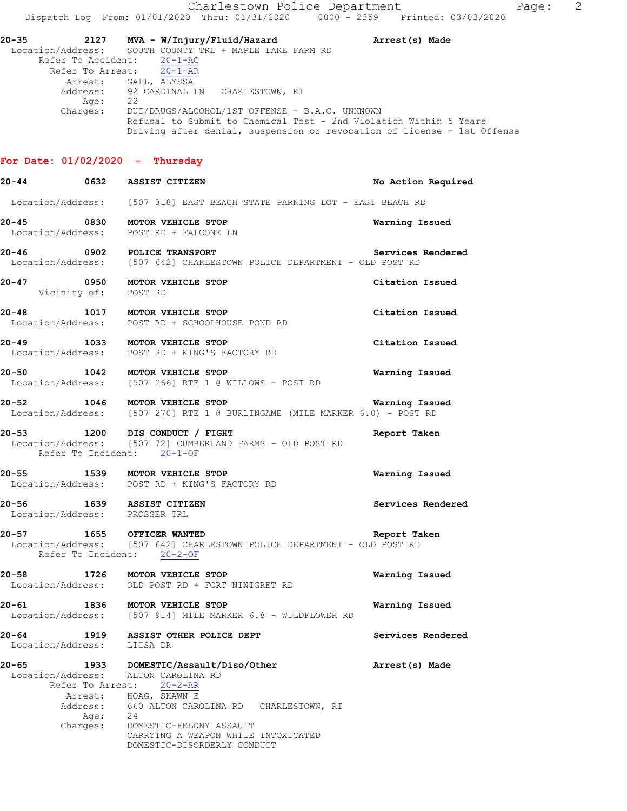**20-35 2127 MVA - W/Injury/Fluid/Hazard Arrest(s) Made**  Location/Address: SOUTH COUNTY TRL + MAPLE LAKE FARM RD Refer To Accident: 20-1-AC Refer To Arrest: 20-1-AR Arrest: GALL, ALYSSA Address: 92 CARDINAL LN CHARLESTOWN, RI<br>Age: 22 Age:<br>:Charges DUI/DRUGS/ALCOHOL/1ST OFFENSE - B.A.C. UNKNOWN Refusal to Submit to Chemical Test - 2nd Violation Within 5 Years Driving after denial, suspension or revocation of license - 1st Offense

### **For Date: 01/02/2020 - Thursday**

| 20-44 0632 ASSIST CITIZEN                                  |      |                                                                                                                                                                  | No Action Required |
|------------------------------------------------------------|------|------------------------------------------------------------------------------------------------------------------------------------------------------------------|--------------------|
|                                                            |      | Location/Address: [507 318] EAST BEACH STATE PARKING LOT - EAST BEACH RD                                                                                         |                    |
|                                                            |      | 20-45 0830 MOTOR VEHICLE STOP<br>Location/Address: POST RD + FALCONE LN                                                                                          | Warning Issued     |
|                                                            |      | 20-46 0902 POLICE TRANSPORT<br>Location/Address: [507 642] CHARLESTOWN POLICE DEPARTMENT - OLD POST RD                                                           | Services Rendered  |
| Vicinity of: POST RD                                       |      | 20-47 0950 MOTOR VEHICLE STOP                                                                                                                                    | Citation Issued    |
| 20-48                                                      |      | 20-48 1017 MOTOR VEHICLE STOP<br>Location/Address: POST RD + SCHOOLHOUSE POND RD                                                                                 | Citation Issued    |
|                                                            |      | 20-49 1033 MOTOR VEHICLE STOP<br>Location/Address: POST RD + KING'S FACTORY RD                                                                                   | Citation Issued    |
|                                                            |      | 20-50 1042 MOTOR VEHICLE STOP<br>Location/Address: [507 266] RTE 1 @ WILLOWS - POST RD                                                                           | Warning Issued     |
|                                                            |      | 20-52 1046 MOTOR VEHICLE STOP MORE MARKER 6.0) - POST RD Location/Address: [507 270] RTE 1 @ BURLINGAME (MILE MARKER 6.0) - POST RD                              | Warning Issued     |
|                                                            |      | 20-53 1200 DIS CONDUCT / FIGHT<br>Location/Address: [507 72] CUMBERLAND FARMS - OLD POST RD<br>Refer To Incident: 20-1-OF                                        | Report Taken       |
|                                                            |      | 20-55 1539 MOTOR VEHICLE STOP<br>Location/Address: POST RD + KING'S FACTORY RD                                                                                   | Warning Issued     |
| 20-56 1639 ASSIST CITIZEN<br>Location/Address: PROSSER TRL |      |                                                                                                                                                                  | Services Rendered  |
| 20-57                                                      |      | 1655 OFFICER WANTED<br>Location/Address: [507 642] CHARLESTOWN POLICE DEPARTMENT - OLD POST RD<br>Refer To Incident: 20-2-OF                                     | Report Taken       |
|                                                            |      | 20-58 1726 MOTOR VEHICLE STOP<br>Location/Address: OLD POST RD + FORT NINIGRET RD                                                                                | Warning Issued     |
|                                                            |      | 20-61 1836 MOTOR VEHICLE STOP<br>Location/Address: [507 914] MILE MARKER 6.8 - WILDFLOWER RD                                                                     | Warning Issued     |
| $20 - 64$<br>Location/Address:                             | 1919 | ASSIST OTHER POLICE DEPT<br>LIISA DR                                                                                                                             | Services Rendered  |
| 20-65<br>Location/Address:<br>Refer To Arrest:             | 1933 | DOMESTIC/Assault/Diso/Other<br>ALTON CAROLINA RD<br>$20 - 2 - AR$                                                                                                | Arrest(s) Made     |
| Arrest:<br>Address:<br>Charges:                            | Age: | HOAG, SHAWN E<br>660 ALTON CAROLINA RD<br>CHARLESTOWN, RI<br>24<br>DOMESTIC-FELONY ASSAULT<br>CARRYING A WEAPON WHILE INTOXICATED<br>DOMESTIC-DISORDERLY CONDUCT |                    |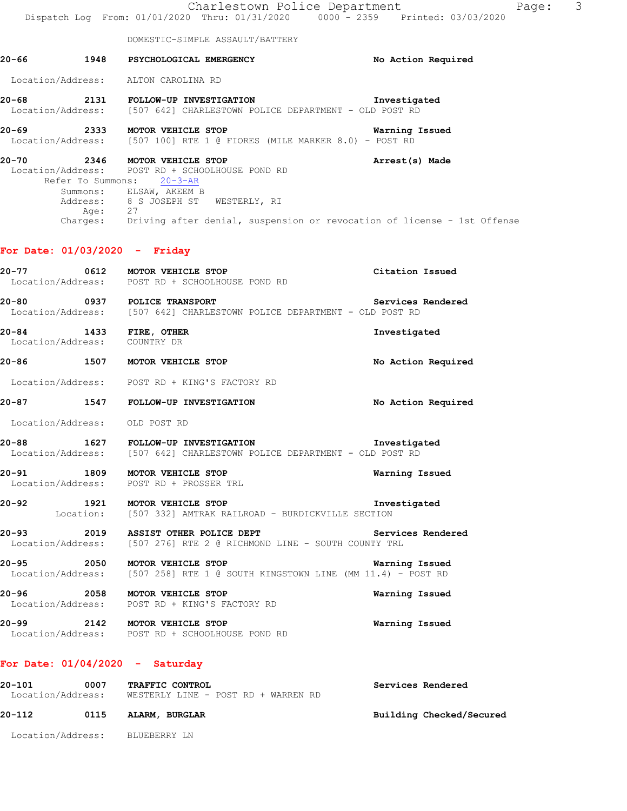|       |         | Charlestown Police Department<br>Dispatch Log From: 01/01/2020 Thru: 01/31/2020 0000 - 2359 Printed: 03/03/2020 | Page:                    | 3 |
|-------|---------|-----------------------------------------------------------------------------------------------------------------|--------------------------|---|
|       |         | DOMESTIC-SIMPLE ASSAULT/BATTERY                                                                                 |                          |   |
| 20-66 |         | 1948 PSYCHOLOGICAL EMERGENCY                                                                                    | No Action Required       |   |
|       |         | Location/Address: ALTON CAROLINA RD                                                                             |                          |   |
| 20-68 |         | 2131 FOLLOW-UP INVESTIGATION<br>Location/Address: [507 642] CHARLESTOWN POLICE DEPARTMENT - OLD POST RD         | Investigated             |   |
|       |         | 20-69 2333 MOTOR VEHICLE STOP<br>Location/Address: [507 100] RTE 1 @ FIORES (MILE MARKER 8.0) - POST RD         | Warning Issued           |   |
| 20-70 |         | 2346 MOTOR VEHICLE STOP<br>Location/Address: POST RD + SCHOOLHOUSE POND RD<br>Refer To Summons: 20-3-AR         | Arrest(s) Made           |   |
|       |         | Summons: ELSAW, AKEEM B<br>Address: 8 S JOSEPH ST WESTERLY, RI                                                  |                          |   |
|       | Age: 27 | Charges: Driving after denial, suspension or revocation of license - 1st Offense                                |                          |   |
|       |         |                                                                                                                 |                          |   |
|       |         | For Date: $01/03/2020 -$ Friday                                                                                 |                          |   |
| 20-77 |         | 0612 MOTOR VEHICLE STOP<br>Location/Address: POST RD + SCHOOLHOUSE POND RD                                      | Citation Issued          |   |
| 20-80 |         | 0937 POLICE TRANSPORT<br>Location/Address: [507 642] CHARLESTOWN POLICE DEPARTMENT - OLD POST RD                | Services Rendered        |   |
| 20-84 |         | 1433 FIRE, OTHER<br>Location/Address: COUNTRY DR                                                                | Investigated             |   |
| 20-86 |         | 1507 MOTOR VEHICLE STOP                                                                                         | No Action Required       |   |
|       |         | Location/Address: POST RD + KING'S FACTORY RD                                                                   |                          |   |
| 20-87 |         | 1547 FOLLOW-UP INVESTIGATION                                                                                    | No Action Required       |   |
|       |         | Location/Address: OLD POST RD                                                                                   |                          |   |
| 20-88 |         | 1627 FOLLOW-UP INVESTIGATION<br>Location/Address: [507 642] CHARLESTOWN POLICE DEPARTMENT - OLD POST RD         | Investigated             |   |
| 20-91 |         | 1809 MOTOR VEHICLE STOP<br>Location/Address: POST RD + PROSSER TRL                                              | Warning Issued           |   |
| 20-92 |         | 1921 MOTOR VEHICLE STOP<br>Location: [507 332] AMTRAK RAILROAD - BURDICKVILLE SECTION                           | Investigated             |   |
| 20-93 |         | 2019 ASSIST OTHER POLICE DEPT<br>Location/Address: [507 276] RTE 2 @ RICHMOND LINE - SOUTH COUNTY TRL           | Services Rendered        |   |
| 20-95 |         | 2050 MOTOR VEHICLE STOP<br>Location/Address: [507 258] RTE 1 @ SOUTH KINGSTOWN LINE (MM 11.4) - POST RD         | Warning Issued           |   |
|       |         | 20-96 2058 MOTOR VEHICLE STOP<br>Location/Address: POST RD + KING'S FACTORY RD                                  | Warning Issued           |   |
|       |         | 20-99 2142 MOTOR VEHICLE STOP<br>Location/Address: POST RD + SCHOOLHOUSE POND RD                                | Warning Issued           |   |
|       |         | For Date: $01/04/2020 -$ Saturday                                                                               |                          |   |
|       |         | 20-101 0007 TRAFFIC CONTROL<br>Location/Address: WESTERLY LINE - POST RD + WARREN RD                            | Services Rendered        |   |
|       |         | 20-112 0115 ALARM, BURGLAR                                                                                      | Building Checked/Secured |   |

Location/Address: BLUEBERRY LN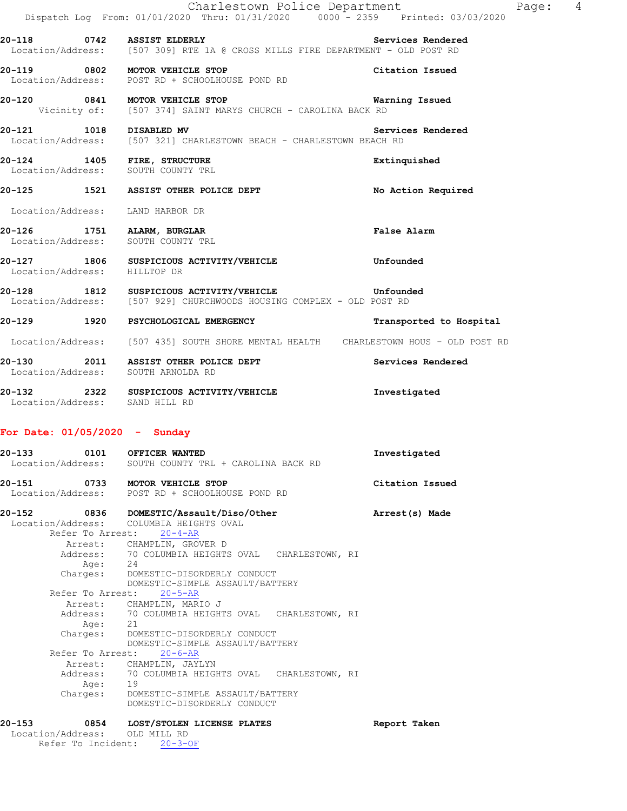|                                  | Charlestown Police Department<br>Dispatch Log From: 01/01/2020 Thru: 01/31/2020 0000 - 2359 Printed: 03/03/2020               | Page:                   | $\overline{4}$ |
|----------------------------------|-------------------------------------------------------------------------------------------------------------------------------|-------------------------|----------------|
|                                  | 20-118 0742 ASSIST ELDERLY Services Rendere<br>Location/Address: [507 309] RTE 1A @ CROSS MILLS FIRE DEPARTMENT - OLD POST RD | Services Rendered       |                |
|                                  | 20-119 0802 MOTOR VEHICLE STOP<br>Location/Address: POST RD + SCHOOLHOUSE POND RD                                             | Citation Issued         |                |
|                                  | 20-120 0841 MOTOR VEHICLE STOP<br>Vicinity of: [507 374] SAINT MARYS CHURCH - CAROLINA BACK RD                                | Warning Issued          |                |
| 20-121 1018 DISABLED MV          | Location/Address: [507 321] CHARLESTOWN BEACH - CHARLESTOWN BEACH RD                                                          | Services Rendered       |                |
|                                  | 20-124 1405 FIRE, STRUCTURE<br>Location/Address: SOUTH COUNTY TRL                                                             | Extinquished            |                |
|                                  | 20-125 1521 ASSIST OTHER POLICE DEPT                                                                                          | No Action Required      |                |
| Location/Address: LAND HARBOR DR |                                                                                                                               |                         |                |
| 20-126 1751 ALARM, BURGLAR       | Location/Address: SOUTH COUNTY TRL                                                                                            | False Alarm             |                |
| Location/Address: HILLTOP DR     | 20-127 1806 SUSPICIOUS ACTIVITY/VEHICLE                                                                                       | Unfounded               |                |
|                                  | 20-128 1812 SUSPICIOUS ACTIVITY/VEHICLE Unfounded<br>Location/Address: [507 929] CHURCHWOODS HOUSING COMPLEX - OLD POST RD    |                         |                |
|                                  | 20-129 1920 PSYCHOLOGICAL EMERGENCY                                                                                           | Transported to Hospital |                |
|                                  | Location/Address: [507 435] SOUTH SHORE MENTAL HEALTH CHARLESTOWN HOUS - OLD POST RD                                          |                         |                |
|                                  | 20-130 2011 ASSIST OTHER POLICE DEPT<br>Location/Address: SOUTH ARNOLDA RD                                                    | Services Rendered       |                |
|                                  | 20-132 2322 SUSPICIOUS ACTIVITY/VEHICLE<br>Location/Address: SAND HILL RD                                                     | Investigated            |                |

# **For Date: 01/05/2020 - Sunday**

| $20 - 133$ |                  | 0101 OFFICER WANTED<br>Location/Address: SOUTH COUNTY TRL + CAROLINA BACK RD | Investigated    |
|------------|------------------|------------------------------------------------------------------------------|-----------------|
| 20-151     |                  | 0733 MOTOR VEHICLE STOP                                                      | Citation Issued |
|            |                  | Location/Address: POST RD + SCHOOLHOUSE POND RD                              |                 |
| 20-152     |                  | 0836 DOMESTIC/Assault/Diso/Other                                             | Arrest(s) Made  |
|            |                  | Location/Address: COLUMBIA HEIGHTS OVAL<br>Refer To Arrest: 20-4-AR          |                 |
|            |                  | Arrest: CHAMPLIN, GROVER D                                                   |                 |
|            |                  | Address: 70 COLUMBIA HEIGHTS OVAL CHARLESTOWN, RI                            |                 |
|            | Age: 24          |                                                                              |                 |
|            |                  | Charges: DOMESTIC-DISORDERLY CONDUCT                                         |                 |
|            |                  | DOMESTIC-SIMPLE ASSAULT/BATTERY                                              |                 |
|            | Refer To Arrest: | $20 - 5 - AR$                                                                |                 |
|            |                  | Arrest: CHAMPLIN, MARIO J                                                    |                 |
|            |                  | Address: 70 COLUMBIA HEIGHTS OVAL CHARLESTOWN, RI                            |                 |
|            | Age: 21          |                                                                              |                 |
|            |                  | Charges: DOMESTIC-DISORDERLY CONDUCT<br>DOMESTIC-SIMPLE ASSAULT/BATTERY      |                 |
|            | Refer To Arrest: | $20 - 6 - AR$                                                                |                 |
|            |                  | Arrest: CHAMPLIN, JAYLYN                                                     |                 |
|            |                  | Address: 70 COLUMBIA HEIGHTS OVAL CHARLESTOWN, RI                            |                 |
|            | Age: 19          |                                                                              |                 |
|            |                  | Charges: DOMESTIC-SIMPLE ASSAULT/BATTERY                                     |                 |
|            |                  | DOMESTIC-DISORDERLY CONDUCT                                                  |                 |
| $20 - 153$ |                  | 0854 LOST/STOLEN LICENSE PLATES                                              | Report Taken    |
|            |                  | Location/Address: OLD MILL RD                                                |                 |
|            |                  | Refer To Incident: 20-3-OF                                                   |                 |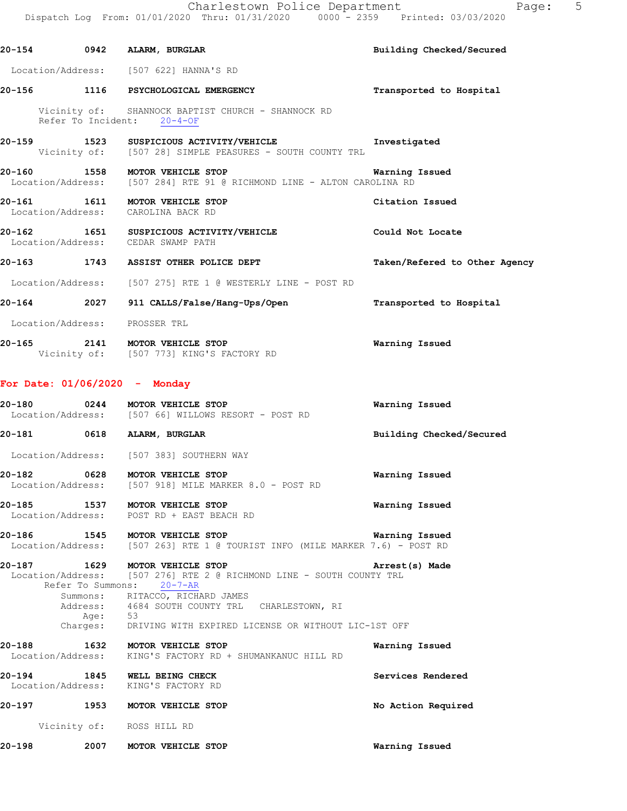| Printed: 03/03/2020 |  |
|---------------------|--|
|                     |  |

|        |                                 | 20-154 0942 ALARM, BURGLAR                                                                                                                                                                            | Building Checked/Secured      |
|--------|---------------------------------|-------------------------------------------------------------------------------------------------------------------------------------------------------------------------------------------------------|-------------------------------|
|        |                                 | Location/Address: [507 622] HANNA'S RD                                                                                                                                                                |                               |
|        |                                 | 20-156 1116 PSYCHOLOGICAL EMERGENCY                                                                                                                                                                   | Transported to Hospital       |
|        | Refer To Incident: 20-4-OF      | Vicinity of: SHANNOCK BAPTIST CHURCH - SHANNOCK RD                                                                                                                                                    |                               |
|        |                                 | 20-159 1523 SUSPICIOUS ACTIVITY/VEHICLE Threstigated<br>Vicinity of: [507 28] SIMPLE PEASURES - SOUTH COUNTY TRL                                                                                      |                               |
|        |                                 | 20-160 1558 MOTOR VEHICLE STOP<br>Location/Address: [507 284] RTE 91 @ RICHMOND LINE - ALTON CAROLINA RD                                                                                              | Warning Issued                |
|        |                                 | 20-161 1611 MOTOR VEHICLE STOP<br>Location/Address: CAROLINA BACK RD                                                                                                                                  | Citation Issued               |
|        |                                 | 20-162 1651 SUSPICIOUS ACTIVITY/VEHICLE<br>Location/Address: CEDAR SWAMP PATH                                                                                                                         | Could Not Locate              |
|        |                                 | 20-163 1743 ASSIST OTHER POLICE DEPT                                                                                                                                                                  | Taken/Refered to Other Agency |
|        |                                 | Location/Address: [507 275] RTE 1 @ WESTERLY LINE - POST RD                                                                                                                                           |                               |
|        |                                 | 20-164 2027 911 CALLS/False/Hang-Ups/Open Transported to Hospital                                                                                                                                     |                               |
|        | Location/Address: PROSSER TRL   |                                                                                                                                                                                                       |                               |
|        |                                 | 20-165 2141 MOTOR VEHICLE STOP<br>Vicinity of: [507 773] KING'S FACTORY RD                                                                                                                            | <b>Warning Issued</b>         |
|        | For Date: $01/06/2020 -$ Monday |                                                                                                                                                                                                       |                               |
|        |                                 | 20-180 0244 MOTOR VEHICLE STOP<br>Location/Address: [507 66] WILLOWS RESORT - POST RD                                                                                                                 | Warning Issued                |
|        |                                 | 20-181 0618 ALARM, BURGLAR                                                                                                                                                                            | Building Checked/Secured      |
|        |                                 | Location/Address: [507 383] SOUTHERN WAY                                                                                                                                                              |                               |
|        |                                 | 20-182 0628 MOTOR VEHICLE STOP<br>Location/Address: [507 918] MILE MARKER 8.0 - POST RD                                                                                                               | Warning Issued                |
| 20-185 |                                 | 1537 MOTOR VEHICLE STOP<br>Location/Address: POST RD + EAST BEACH RD                                                                                                                                  | Warning Issued                |
| 20-186 |                                 | 1545 MOTOR VEHICLE STOP<br>Location/Address: [507 263] RTE 1 @ TOURIST INFO (MILE MARKER 7.6) - POST RD                                                                                               | Warning Issued                |
| 20-187 | Refer To Summons:<br>Age: 53    | 1629 MOTOR VEHICLE STOP<br>Location/Address: [507 276] RTE 2 @ RICHMOND LINE - SOUTH COUNTY TRL<br>$20 - 7 - AR$<br>Summons: RITACCO, RICHARD JAMES<br>Address: 4684 SOUTH COUNTY TRL CHARLESTOWN, RI | Arrest(s) Made                |
|        |                                 | Charges: DRIVING WITH EXPIRED LICENSE OR WITHOUT LIC-1ST OFF                                                                                                                                          |                               |
| 20-188 |                                 | 1632 MOTOR VEHICLE STOP<br>Location/Address: KING'S FACTORY RD + SHUMANKANUC HILL RD                                                                                                                  | Warning Issued                |
|        |                                 | 20-194 1845 WELL BEING CHECK<br>Location/Address: KING'S FACTORY RD                                                                                                                                   | Services Rendered             |
|        |                                 | 20-197 1953 MOTOR VEHICLE STOP                                                                                                                                                                        | No Action Required            |
|        | Vicinity of: ROSS HILL RD       |                                                                                                                                                                                                       |                               |
| 20-198 |                                 | 2007 MOTOR VEHICLE STOP                                                                                                                                                                               | Warning Issued                |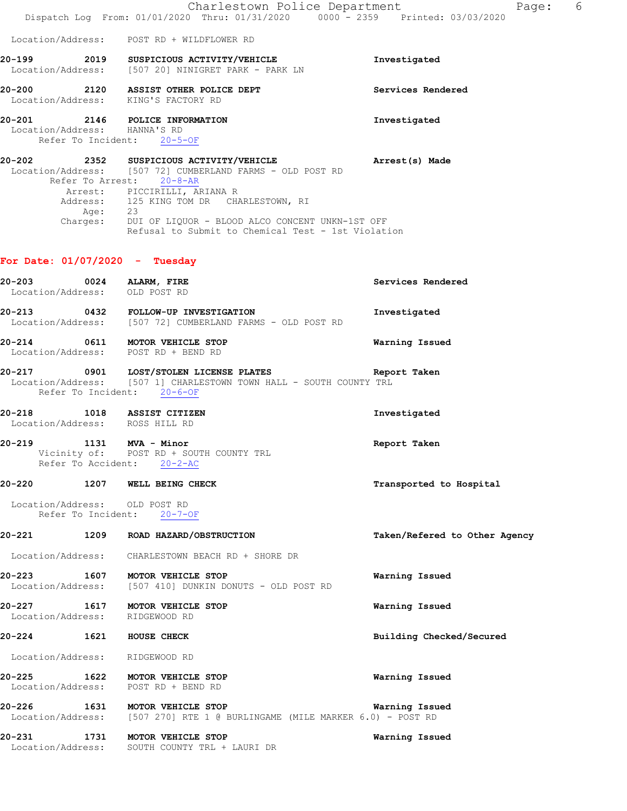|                                                          |                    | Charlestown Police Department<br>Dispatch Log From: 01/01/2020 Thru: 01/31/2020 0000 - 2359 Printed: 03/03/2020                                                                                                                                                                                                                                          | Page: 6                       |
|----------------------------------------------------------|--------------------|----------------------------------------------------------------------------------------------------------------------------------------------------------------------------------------------------------------------------------------------------------------------------------------------------------------------------------------------------------|-------------------------------|
|                                                          |                    | Location/Address: POST RD + WILDFLOWER RD                                                                                                                                                                                                                                                                                                                |                               |
|                                                          |                    | 20-199 2019 SUSPICIOUS ACTIVITY/VEHICLE<br>Location/Address: [507 20] NINIGRET PARK - PARK LN                                                                                                                                                                                                                                                            | Investigated                  |
|                                                          |                    | 20-200 2120 ASSIST OTHER POLICE DEPT<br>Location/Address: KING'S FACTORY RD                                                                                                                                                                                                                                                                              | Services Rendered             |
|                                                          |                    | 20-201 2146 POLICE INFORMATION<br>Location/Address: HANNA'S RD<br>Refer To Incident: 20-5-OF                                                                                                                                                                                                                                                             | Investigated                  |
|                                                          |                    | 20-202 2352 SUSPICIOUS ACTIVITY/VEHICLE Arrest(s) Made<br>Location/Address: [507 72] CUMBERLAND FARMS - OLD POST RD<br>Refer To Arrest: 20-8-AR<br>Arrest: PICCIRILLI, ARIANA R<br>Address: 125 KING TOM DR CHARLESTOWN, RI<br>Age: 23<br>Charges: DUI OF LIQUOR - BLOOD ALCO CONCENT UNKN-1ST OFF<br>Refusal to Submit to Chemical Test - 1st Violation |                               |
|                                                          |                    | For Date: $01/07/2020 -$ Tuesday                                                                                                                                                                                                                                                                                                                         |                               |
| 20-203 0024 ALARM, FIRE<br>Location/Address: OLD POST RD |                    |                                                                                                                                                                                                                                                                                                                                                          | Services Rendered             |
|                                                          |                    | 20-213 0432 FOLLOW-UP INVESTIGATION<br>Location/Address: [507 72] CUMBERLAND FARMS - OLD POST RD                                                                                                                                                                                                                                                         | Investigated                  |
|                                                          |                    | 20-214 0611 MOTOR VEHICLE STOP<br>Location/Address: POST RD + BEND RD                                                                                                                                                                                                                                                                                    | Warning Issued                |
|                                                          |                    | 20-217   0901   LOST/STOLEN LICENSE PLATES   Repo<br>Location/Address: [507 1] CHARLESTOWN TOWN HALL - SOUTH COUNTY TRL<br>Report Taken<br>Refer To Incident: 20-6-OF                                                                                                                                                                                    |                               |
|                                                          |                    | 20-218 1018 ASSIST CITIZEN<br>Location/Address: ROSS HILL RD                                                                                                                                                                                                                                                                                             | Investigated                  |
| 20-219 1131 MVA - Minor                                  | Refer To Accident: | Vicinity of:        POST  RD  +  SOUTH  COUNTY  TRL<br>$20 - 2 - AC$                                                                                                                                                                                                                                                                                     | Report Taken                  |
| 20-220                                                   | 1207               | WELL BEING CHECK                                                                                                                                                                                                                                                                                                                                         | Transported to Hospital       |
| Location/Address: OLD POST RD                            |                    | Refer To Incident: 20-7-OF                                                                                                                                                                                                                                                                                                                               |                               |
| 20-221 1209                                              |                    | ROAD HAZARD/OBSTRUCTION                                                                                                                                                                                                                                                                                                                                  | Taken/Refered to Other Agency |
| Location/Address:                                        |                    | CHARLESTOWN BEACH RD + SHORE DR                                                                                                                                                                                                                                                                                                                          |                               |
| 20-223<br>Location/Address:                              | 1607               | MOTOR VEHICLE STOP<br>[507 410] DUNKIN DONUTS - OLD POST RD                                                                                                                                                                                                                                                                                              | Warning Issued                |
| 20-227 1617                                              |                    | MOTOR VEHICLE STOP<br>Location/Address: RIDGEWOOD RD                                                                                                                                                                                                                                                                                                     | Warning Issued                |
| 20-224 1621                                              |                    | HOUSE CHECK                                                                                                                                                                                                                                                                                                                                              | Building Checked/Secured      |
| Location/Address:                                        |                    | RIDGEWOOD RD                                                                                                                                                                                                                                                                                                                                             |                               |
| 20-225                                                   | 1622               | MOTOR VEHICLE STOP<br>Location/Address: POST RD + BEND RD                                                                                                                                                                                                                                                                                                | Warning Issued                |
|                                                          |                    | 20-226 1631 MOTOR VEHICLE STOP<br>Location/Address: [507 270] RTE 1 @ BURLINGAME (MILE MARKER 6.0) - POST RD                                                                                                                                                                                                                                             | Warning Issued                |
| 20-231                                                   | 1731               | MOTOR VEHICLE STOP<br>Location/Address: SOUTH COUNTY TRL + LAURI DR                                                                                                                                                                                                                                                                                      | Warning Issued                |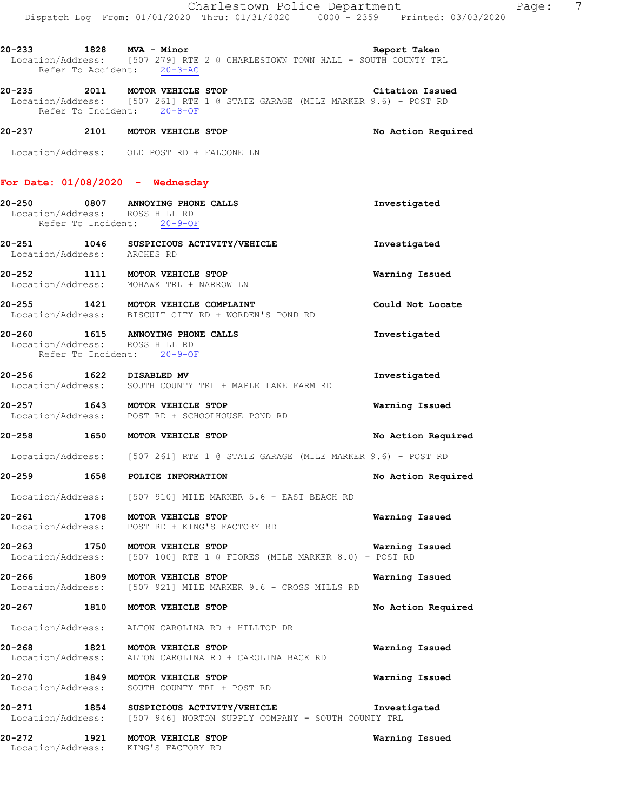**20-235 2011 MOTOR VEHICLE STOP Citation Issued**  Location/Address: [507 261] RTE 1 @ STATE GARAGE (MILE MARKER 9.6) - POST RD Refer To Incident: 20-8-OF

## **20-237 2101 MOTOR VEHICLE STOP No Action Required**

Location/Address: OLD POST RD + FALCONE LN

### **For Date: 01/08/2020 - Wednesday**

Location/Address: KING'S FACTORY RD

| Location/Address: ROSS HILL RD |      | 20-250 0807 ANNOYING PHONE CALLS<br>Refer To Incident: 20-9-OF                                           | Investigated          |
|--------------------------------|------|----------------------------------------------------------------------------------------------------------|-----------------------|
| Location/Address: ARCHES RD    |      | 20-251 1046 SUSPICIOUS ACTIVITY/VEHICLE                                                                  | Investigated          |
|                                |      | 20-252 1111 MOTOR VEHICLE STOP<br>Location/Address: MOHAWK TRL + NARROW LN                               | Warning Issued        |
|                                |      | 20-255 1421 MOTOR VEHICLE COMPLAINT<br>Location/Address: BISCUIT CITY RD + WORDEN'S POND RD              | Could Not Locate      |
| Location/Address: ROSS HILL RD |      | 20-260 1615 ANNOYING PHONE CALLS<br>Refer To Incident: 20-9-OF                                           | Investigated          |
| 20-256 1622 DISABLED MV        |      | Location/Address: SOUTH COUNTY TRL + MAPLE LAKE FARM RD                                                  | Investigated          |
|                                |      | 20-257 1643 MOTOR VEHICLE STOP<br>Location/Address: POST RD + SCHOOLHOUSE POND RD                        | Warning Issued        |
|                                |      | 20-258 1650 MOTOR VEHICLE STOP                                                                           | No Action Required    |
|                                |      | Location/Address: [507 261] RTE 1 @ STATE GARAGE (MILE MARKER 9.6) - POST RD                             |                       |
|                                |      | 20-259 1658 POLICE INFORMATION                                                                           | No Action Required    |
|                                |      | Location/Address: [507 910] MILE MARKER 5.6 - EAST BEACH RD                                              |                       |
|                                |      | 20-261 1708 MOTOR VEHICLE STOP<br>Location/Address: POST RD + KING'S FACTORY RD                          | Warning Issued        |
|                                |      | 20-263 1750 MOTOR VEHICLE STOP<br>Location/Address: [507 100] RTE 1 @ FIORES (MILE MARKER 8.0) - POST RD | <b>Warning Issued</b> |
|                                |      | 20-266 1809 MOTOR VEHICLE STOP<br>Location/Address: [507 921] MILE MARKER 9.6 - CROSS MILLS RD           | Warning Issued        |
|                                |      | 20-267 1810 MOTOR VEHICLE STOP                                                                           | No Action Required    |
|                                |      | Location/Address: ALTON CAROLINA RD + HILLTOP DR                                                         |                       |
| Location/Address:              |      | 20-268 1821 MOTOR VEHICLE STOP<br>ALTON CAROLINA RD + CAROLINA BACK RD                                   | Warning Issued        |
| 20-270<br>Location/Address:    | 1849 | MOTOR VEHICLE STOP<br>SOUTH COUNTY TRL + POST RD                                                         | Warning Issued        |
| 20-271<br>Location/Address:    | 1854 | SUSPICIOUS ACTIVITY/VEHICLE<br>[507 946] NORTON SUPPLY COMPANY - SOUTH COUNTY TRL                        | Investigated          |
| 20-272                         | 1921 | MOTOR VEHICLE STOP                                                                                       | Warning Issued        |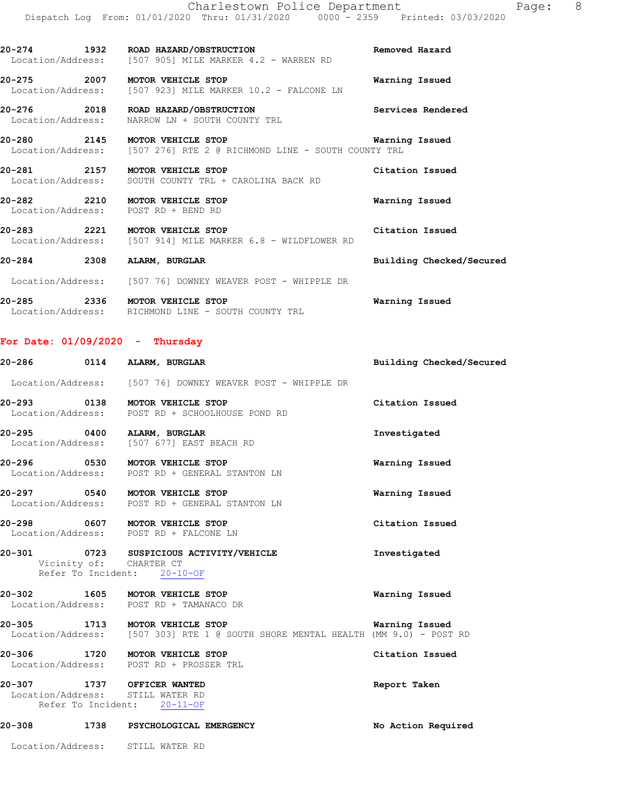| 20–274 | 1932 | ROAD HAZARD/OBSTRUCTION                                 | Removed Hazard |
|--------|------|---------------------------------------------------------|----------------|
|        |      | Location/Address: [507 905] MILE MARKER 4.2 - WARREN RD |                |

**20-275 2007 MOTOR VEHICLE STOP Warning Issued**  Location/Address: [507 923] MILE MARKER 10.2 - FALCONE LN

**20-276 2018 ROAD HAZARD/OBSTRUCTION Services Rendered**  Location/Address: NARROW LN + SOUTH COUNTY TRL

**20-280 2145 MOTOR VEHICLE STOP Warning Issued**<br>Location/Address: [507 276] RTE 2 @ RICHMOND LINE - SOUTH COUNTY TRL [507 276] RTE 2 @ RICHMOND LINE - SOUTH COUNTY TRL

**20-281 2157 MOTOR VEHICLE STOP Citation Issued**  Location/Address: SOUTH COUNTY TRL + CAROLINA BACK RD

**20-282 2210 MOTOR VEHICLE STOP Warning Issued**  Location/Address: POST RD + BEND RD

**20-283 2221 MOTOR VEHICLE STOP Citation Issued** Construction Construction Construction Address: [507 914] MILE MARKER 6.8 - WILDFLOWER RD [507 914] MILE MARKER 6.8 - WILDFLOWER RD

**20-284 2308 ALARM, BURGLAR Building Checked/Secured** 

 Location/Address: [507 76] DOWNEY WEAVER POST - WHIPPLE DR **20-285 2336 MOTOR VEHICLE STOP Warning Issued**  Location/Address: RICHMOND LINE - SOUTH COUNTY TRL

### **For Date: 01/09/2020 - Thursday**

|                                                                | 20-286 0114 ALARM, BURGLAR                                                                                         | Building Checked/Secured |
|----------------------------------------------------------------|--------------------------------------------------------------------------------------------------------------------|--------------------------|
|                                                                | Location/Address: [507 76] DOWNEY WEAVER POST - WHIPPLE DR                                                         |                          |
|                                                                | 20-293 0138 MOTOR VEHICLE STOP<br>Location/Address: POST RD + SCHOOLHOUSE POND RD                                  | Citation Issued          |
|                                                                | 20-295 0400 ALARM, BURGLAR<br>Location/Address: [507 677] EAST BEACH RD                                            | Investigated             |
|                                                                | 20-296 0530 MOTOR VEHICLE STOP<br>Location/Address: POST RD + GENERAL STANTON LN                                   | Warning Issued           |
|                                                                | 20-297 0540 MOTOR VEHICLE STOP<br>Location/Address: POST RD + GENERAL STANTON LN                                   | Warning Issued           |
|                                                                | 20-298 0607 MOTOR VEHICLE STOP<br>Location/Address: POST RD + FALCONE LN                                           | Citation Issued          |
|                                                                | 20-301 0723 SUSPICIOUS ACTIVITY/VEHICLE<br>Vicinity of: CHARTER CT<br>Refer To Incident: 20-10-OF                  | Investigated             |
|                                                                | 20-302 1605 MOTOR VEHICLE STOP<br>Location/Address: POST RD + TAMANACO DR                                          | Warning Issued           |
|                                                                | 20-305 1713 MOTOR VEHICLE STOP<br>Location/Address: [507 303] RTE 1 @ SOUTH SHORE MENTAL HEALTH (MM 9.0) - POST RD | Warning Issued           |
|                                                                | 20-306 1720 MOTOR VEHICLE STOP<br>Location/Address: POST RD + PROSSER TRL                                          | Citation Issued          |
| 20-307 1737 OFFICER WANTED<br>Location/Address: STILL WATER RD | Refer To Incident: 20-11-OF                                                                                        | Report Taken             |
| 20-308                                                         | 1738 PSYCHOLOGICAL EMERGENCY                                                                                       | No Action Required       |

Location/Address: STILL WATER RD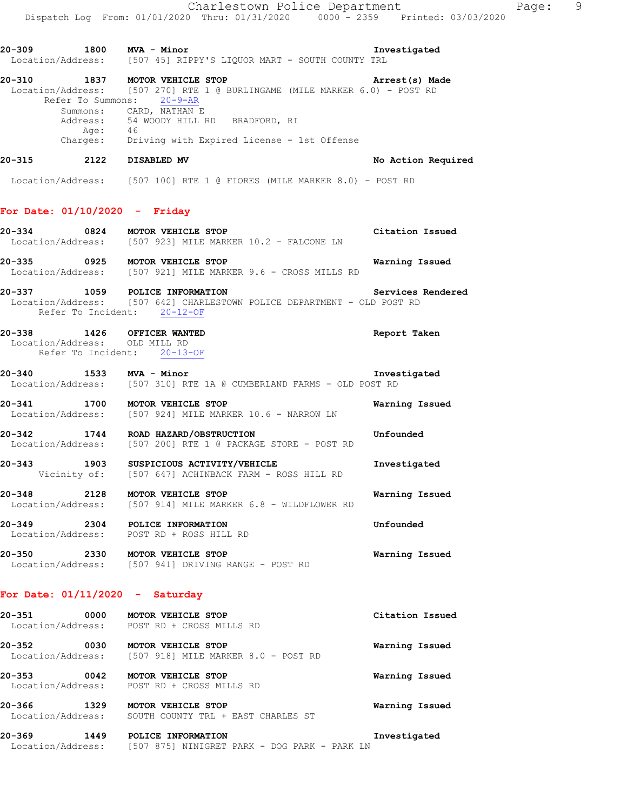**20-309 1800 MVA - Minor Investigated** 

**20-310 1837 MOTOR VEHICLE STOP Arrest(s) Made** 

Location/Address: [507 45] RIPPY'S LIQUOR MART - SOUTH COUNTY TRL

 Location/Address: [507 270] RTE 1 @ BURLINGAME (MILE MARKER 6.0) - POST RD Refer To Summons: 20-9-AR Summons: CARD, NATHAN E Address: 54 WOODY HILL RD BRADFORD, RI Age: 46 Charges: Driving with Expired License - 1st Offense **20-315 2122 DISABLED MV No Action Required**  Location/Address: [507 100] RTE 1 @ FIORES (MILE MARKER 8.0) - POST RD **For Date: 01/10/2020 - Friday 20-334 0824 MOTOR VEHICLE STOP Citation Issued**  Location/Address: [507 923] MILE MARKER 10.2 - FALCONE LN **20-335 0925 MOTOR VEHICLE STOP Warning Issued**  Location/Address: [507 921] MILE MARKER 9.6 - CROSS MILLS RD **20-337 1059 POLICE INFORMATION Services Rendered**  Location/Address: [507 642] CHARLESTOWN POLICE DEPARTMENT - OLD POST RD Refer To Incident: 20-12-OF **20-338 1426 OFFICER WANTED Report Taken**  Location/Address: OLD MILL RD Refer To Incident: 20-13-OF **20-340 1533 MVA - Minor Investigated**  Location/Address: [507 310] RTE 1A @ CUMBERLAND FARMS - OLD POST RD **20-341 1700 MOTOR VEHICLE STOP Warning Issued**  Location/Address: [507 924] MILE MARKER 10.6 - NARROW LN **20-342 1744 ROAD HAZARD/OBSTRUCTION Unfounded**  Location/Address: [507 200] RTE 1 @ PACKAGE STORE - POST RD **20-343 1903 SUSPICIOUS ACTIVITY/VEHICLE 1003 Investigated** Vicinity of: [507 647] ACHINBACK FARM - ROSS HILL RD [507 647] ACHINBACK FARM - ROSS HILL RD **20-348 2128 MOTOR VEHICLE STOP Warning Issued**  Location/Address: [507 914] MILE MARKER 6.8 - WILDFLOWER RD **20-349 2304 POLICE INFORMATION Unfounded**  Location/Address: POST RD + ROSS HILL RD **20-350 2330 MOTOR VEHICLE STOP Warning Issued**  Location/Address: [507 941] DRIVING RANGE - POST RD **For Date: 01/11/2020 - Saturday 20-351 0000 MOTOR VEHICLE STOP Citation Issued**  POST RD + CROSS MILLS RD

**20-352 0030 MOTOR VEHICLE STOP Warning Issued**  Location/Address: [507 918] MILE MARKER 8.0 - POST RD **20-353 0042 MOTOR VEHICLE STOP Warning Issued** 

Location/Address: POST RD + CROSS MILLS RD

**20-366 1329 MOTOR VEHICLE STOP Warning Issued**  Location/Address: SOUTH COUNTY TRL + EAST CHARLES ST

**20-369 1449 POLICE INFORMATION Investigated**  Location/Address: [507 875] NINIGRET PARK - DOG PARK - PARK LN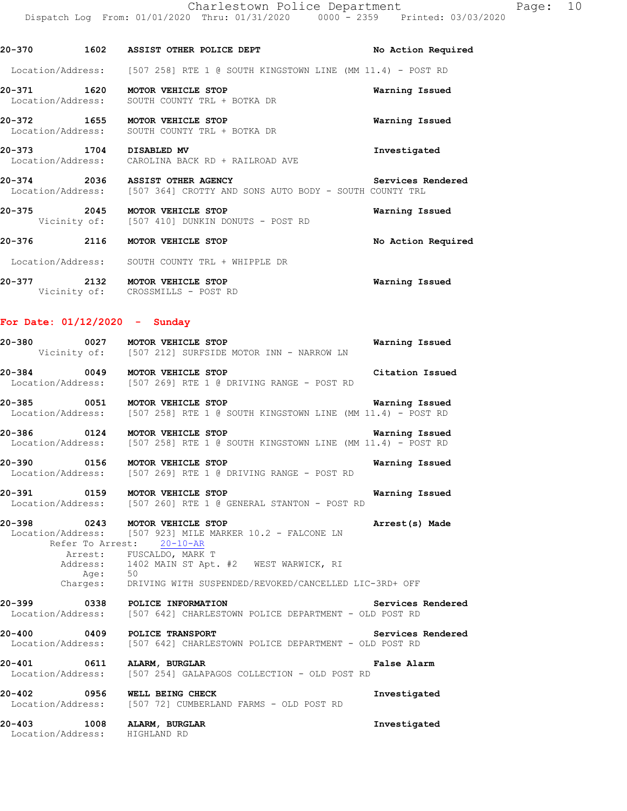**20-370 1602 ASSIST OTHER POLICE DEPT No Action Required**  Location/Address: [507 258] RTE 1 @ SOUTH KINGSTOWN LINE (MM 11.4) - POST RD **20-371 1620 MOTOR VEHICLE STOP Warning Issued**  Location/Address: SOUTH COUNTY TRL + BOTKA DR **20-372 1655 MOTOR VEHICLE STOP Warning Issued**  Location/Address: SOUTH COUNTY TRL + BOTKA DR **20-373 1704 DISABLED MV Investigated**  Location/Address: CAROLINA BACK RD + RAILROAD AVE **20-374 2036 ASSIST OTHER AGENCY Services Rendered**  Location/Address: [507 364] CROTTY AND SONS AUTO BODY - SOUTH COUNTY TRL **20-375 2045 MOTOR VEHICLE STOP Warning Issued**  Vicinity of: [507 410] DUNKIN DONUTS - POST RD **20-376 2116 MOTOR VEHICLE STOP No Action Required** 

Location/Address: SOUTH COUNTY TRL + WHIPPLE DR

**20-377 2132 MOTOR VEHICLE STOP Warning Issued**  Vicinity of: CROSSMILLS - POST RD

## **For Date: 01/12/2020 - Sunday**

| 20–380<br>0027                      | MOTOR VEHICLE STOP<br>Vicinity of: [507 212] SURFSIDE MOTOR INN - NARROW LN | Warning Issued  |
|-------------------------------------|-----------------------------------------------------------------------------|-----------------|
| 20-384<br>0049<br>Location/Address: | MOTOR VEHICLE STOP<br>1507 2691 RTE 1 @ DRIVING RANGE - POST RD             | Citation Issued |

**20-385 0051 MOTOR VEHICLE STOP Warning Issued**  Location/Address: [507 258] RTE 1 @ SOUTH KINGSTOWN LINE (MM 11.4) - POST RD

**20-386 0124 MOTOR VEHICLE STOP Warning Issued**<br>Location/Address: [507 258] RTE 1 @ SOUTH KINGSTOWN LINE (MM 11.4) - POST RD [507 258] RTE 1 @ SOUTH KINGSTOWN LINE (MM 11.4) - POST RD

**20-390 0156 MOTOR VEHICLE STOP Warning Issued**  [507 269] RTE 1 @ DRIVING RANGE - POST RD

**20-391 0159 MOTOR VEHICLE STOP Warning Issued**  Location/Address: [507 260] RTE 1 @ GENERAL STANTON - POST RD

**20-398 0243 MOTOR VEHICLE STOP Arrest(s) Made**  Location/Address: [507 923] MILE MARKER 10.2 - FALCONE LN Refer To Arrest: 20-10-AR Arrest: FUSCALDO, MARK T Address: 1402 MAIN ST Apt. #2 WEST WARWICK, RI<br>Age: 50 Age: Charges: DRIVING WITH SUSPENDED/REVOKED/CANCELLED LIC-3RD+ OFF

**20-399 0338 POLICE INFORMATION Services Rendered**  [507 642] CHARLESTOWN POLICE DEPARTMENT - OLD POST RD

**20-400 0409 POLICE TRANSPORT Services Rendered**  Location/Address: [507 642] CHARLESTOWN POLICE DEPARTMENT - OLD POST RD

**20-401 0611 ALARM, BURGLAR False Alarm**  Location/Address: [507 254] GALAPAGOS COLLECTION - OLD POST RD

**20-402 0956 WELL BEING CHECK Investigated**  Location/Address: [507 72] CUMBERLAND FARMS - OLD POST RD

**20-403 1008 ALARM, BURGLAR Investigated**  Location/Address: HIGHLAND RD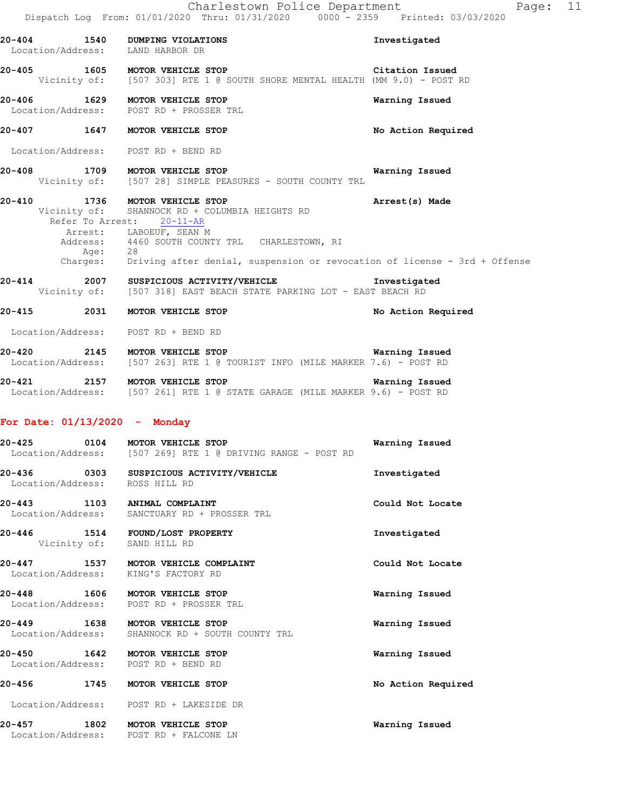Dispatch Log From: 01/01/2020 Thru: 01/31/2020 0000 - 2359 Printed: 03/03/2020 **20-404 1540 DUMPING VIOLATIONS Investigated**  Location/Address: LAND HARBOR DR **20-405 1605 MOTOR VEHICLE STOP Citation Issued**<br>Vicinity of: [507 303] RTE 1 @ SOUTH SHORE MENTAL HEALTH (MM 9.0) - POST [507 303] RTE 1 @ SOUTH SHORE MENTAL HEALTH (MM 9.0) - POST RD **20-406 1629 MOTOR VEHICLE STOP Warning Issued**  Location/Address: POST RD + PROSSER TRL **20-407 1647 MOTOR VEHICLE STOP No Action Required**  Location/Address: POST RD + BEND RD **20-408 1709 MOTOR VEHICLE STOP WARE MARRING ISSUED**<br>Vicinity of: [507 28] SIMPLE PEASURES - SOUTH COUNTY TRL [507 28] SIMPLE PEASURES - SOUTH COUNTY TRL **20-410 1736 MOTOR VEHICLE STOP Arrest(s) Made**  Vicinity of: SHANNOCK RD + COLUMBIA HEIGHTS RD Refer To Arrest: 20-11-AR Arrest: LABOEUF, SEAN M Address: 4460 SOUTH COUNTY TRL CHARLESTOWN, RI Age: 28 Charges: Driving after denial, suspension or revocation of license - 3rd + Offense **20-414** 2007 SUSPICIOUS ACTIVITY/VEHICLE **Investigated** Vicinity of: [507 318] EAST BEACH STATE PARKING LOT - EAST BEACH RD [507 318] EAST BEACH STATE PARKING LOT - EAST BEACH RD **20-415 2031 MOTOR VEHICLE STOP No Action Required**  Location/Address: POST RD + BEND RD **20-420 2145 MOTOR VEHICLE STOP Warning Issued**  Location/Address: [507 263] RTE 1 @ TOURIST INFO (MILE MARKER 7.6) - POST RD **20-421 2157 MOTOR VEHICLE STOP Warning Issued**  Location/Address: [507 261] RTE 1 @ STATE GARAGE (MILE MARKER 9.6) - POST RD **For Date: 01/13/2020 - Monday 20-425 0104 MOTOR VEHICLE STOP Warning Issued**  Location/Address: [507 269] RTE 1 @ DRIVING RANGE - POST RD **20-436 0303 SUSPICIOUS ACTIVITY/VEHICLE Investigated**  Location/Address: ROSS HILL RD **20-443 1103 ANIMAL COMPLAINT Could Not Locate**  Location/Address: SANCTUARY RD + PROSSER TRL **20-446 1514 FOUND/LOST PROPERTY Investigated**  Vicinity of: SAND HILL RD **20-447 1537 MOTOR VEHICLE COMPLAINT Could Not Locate**  Location/Address: KING'S FACTORY RD **20-448 1606 MOTOR VEHICLE STOP Warning Issued**  Location/Address: POST RD + PROSSER TRL **20-449 1638 MOTOR VEHICLE STOP Warning Issued**  Location/Address: SHANNOCK RD + SOUTH COUNTY TRL **20-450 1642 MOTOR VEHICLE STOP Warning Issued**  Location/Address: **20-456 1745 MOTOR VEHICLE STOP No Action Required**  Location/Address: POST RD + LAKESIDE DR **20-457 1802 MOTOR VEHICLE STOP Warning Issued**  Location/Address: POST RD + FALCONE LN

Charlestown Police Department Fage: 11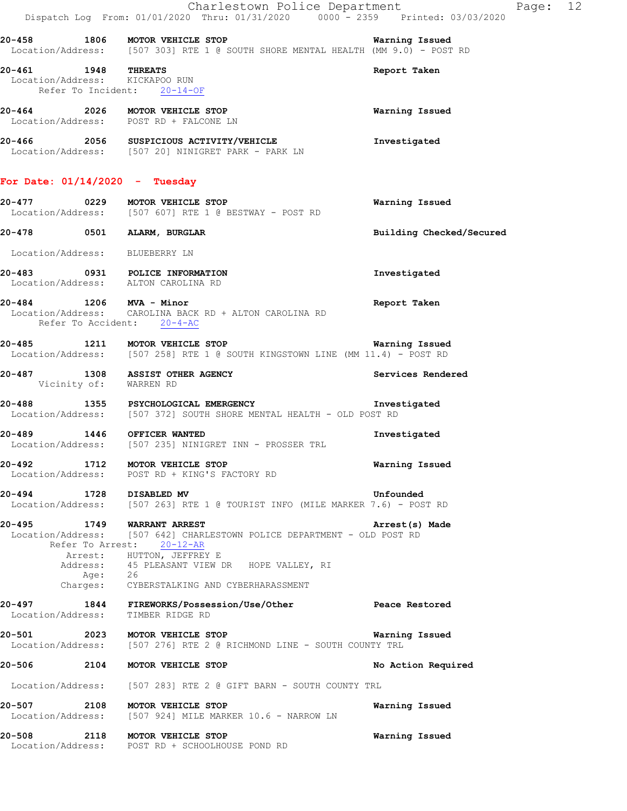|                                  |         | Charlestown Police Department<br>Dispatch Log From: 01/01/2020 Thru: 01/31/2020 0000 - 2359 Printed: 03/03/2020                                                                                                                                        | Page: 12                 |  |
|----------------------------------|---------|--------------------------------------------------------------------------------------------------------------------------------------------------------------------------------------------------------------------------------------------------------|--------------------------|--|
|                                  |         | 20-458 1806 MOTOR VEHICLE STOP Narning Issued<br>Location/Address: [507 303] RTE 1 @ SOUTH SHORE MENTAL HEALTH (MM 9.0) - POST RD                                                                                                                      |                          |  |
| 20-461 1948 THREATS              |         | Location/Address: KICKAPOO RUN<br>Refer To Incident: 20-14-OF                                                                                                                                                                                          | Report Taken             |  |
|                                  |         | 20-464 2026 MOTOR VEHICLE STOP<br>Location/Address: POST RD + FALCONE LN                                                                                                                                                                               | Warning Issued           |  |
|                                  |         | 20-466 2056 SUSPICIOUS ACTIVITY/VEHICLE<br>Location/Address: [507 20] NINIGRET PARK - PARK LN                                                                                                                                                          | Investigated             |  |
| For Date: $01/14/2020$ - Tuesday |         |                                                                                                                                                                                                                                                        |                          |  |
|                                  |         | 20-477 0229 MOTOR VEHICLE STOP<br>Location/Address: [507 607] RTE 1 @ BESTWAY - POST RD                                                                                                                                                                | Warning Issued           |  |
|                                  |         | 20-478 0501 ALARM, BURGLAR                                                                                                                                                                                                                             | Building Checked/Secured |  |
| Location/Address: BLUEBERRY LN   |         |                                                                                                                                                                                                                                                        |                          |  |
|                                  |         | 20-483 0931 POLICE INFORMATION<br>Location/Address: ALTON CAROLINA RD                                                                                                                                                                                  | Investigated             |  |
| 20-484 1206 MVA - Minor          |         | Location/Address: CAROLINA BACK RD + ALTON CAROLINA RD<br>Refer To Accident: 20-4-AC                                                                                                                                                                   | Report Taken             |  |
|                                  |         | 20-485 1211 MOTOR VEHICLE STOP <b>1200 1200 1200 National Mariti</b> ng Issued<br>Location/Address: [507 258] RTE 1 @ SOUTH KINGSTOWN LINE (MM 11.4) - POST RD                                                                                         |                          |  |
| Vicinity of: WARREN RD           |         | 20-487 1308 ASSIST OTHER AGENCY                                                                                                                                                                                                                        | Services Rendered        |  |
|                                  |         | 20-488 1355 PSYCHOLOGICAL EMERGENCY 1nvestigated<br>Location/Address: [507 372] SOUTH SHORE MENTAL HEALTH - OLD POST RD                                                                                                                                |                          |  |
| 20-489 1446 OFFICER WANTED       |         | Location/Address: [507 235] NINIGRET INN - PROSSER TRL                                                                                                                                                                                                 | Investigated             |  |
| 20-492                           |         | 1712 MOTOR VEHICLE STOP<br>Location/Address: POST RD + KING'S FACTORY RD                                                                                                                                                                               | Warning Issued           |  |
| 20-494 1728 DISABLED MV          |         | Location/Address: [507 263] RTE 1 @ TOURIST INFO (MILE MARKER 7.6) - POST RD                                                                                                                                                                           | Unfounded                |  |
| 20-495                           | Age: 26 | 1749 WARRANT ARREST<br>Location/Address: [507 642] CHARLESTOWN POLICE DEPARTMENT - OLD POST RD<br>Refer To Arrest: 20-12-AR<br>Arrest: HUTTON, JEFFREY E<br>Address: 45 PLEASANT VIEW DR HOPE VALLEY, RI<br>Charges: CYBERSTALKING AND CYBERHARASSMENT | Arrest(s) Made           |  |
| Location/Address:                |         | 20-497 1844 FIREWORKS/Possession/Use/Other Peace Restored<br>TIMBER RIDGE RD                                                                                                                                                                           |                          |  |
|                                  |         | 20-501 2023 MOTOR VEHICLE STOP<br>Location/Address: [507 276] RTE 2 @ RICHMOND LINE - SOUTH COUNTY TRL                                                                                                                                                 | Warning Issued           |  |
|                                  |         | 20-506 2104 MOTOR VEHICLE STOP                                                                                                                                                                                                                         | No Action Required       |  |
|                                  |         | Location/Address: [507 283] RTE 2 @ GIFT BARN - SOUTH COUNTY TRL                                                                                                                                                                                       |                          |  |
| 20-507                           |         | 2108 MOTOR VEHICLE STOP<br>Location/Address: [507 924] MILE MARKER 10.6 - NARROW LN                                                                                                                                                                    | Warning Issued           |  |
|                                  |         | 20-508 2118 MOTOR VEHICLE STOP<br>Location/Address: POST RD + SCHOOLHOUSE POND RD                                                                                                                                                                      | Warning Issued           |  |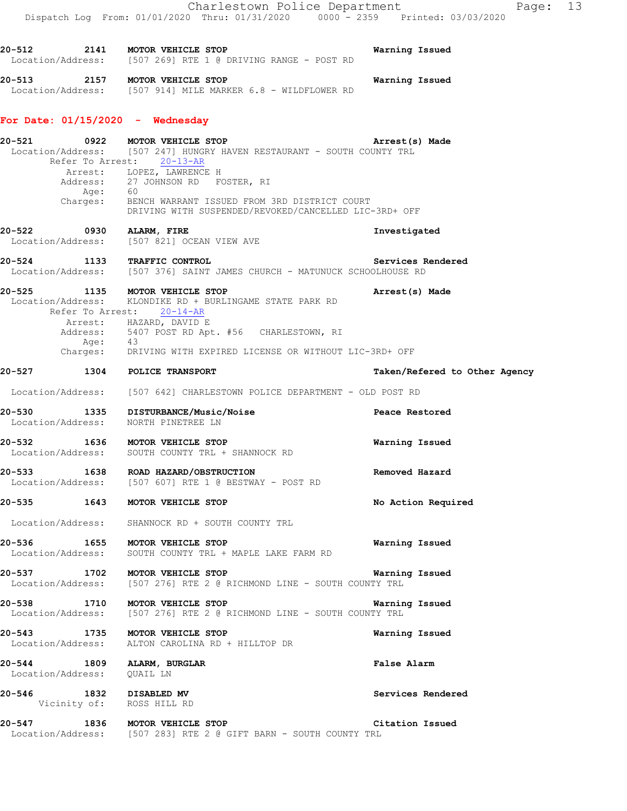Location/Address: [507 269] RTE 1 @ DRIVING RANGE - POST RD **20-513 2157 MOTOR VEHICLE STOP Warning Issued**  Location/Address: [507 914] MILE MARKER 6.8 - WILDFLOWER RD

**20-512 2141 MOTOR VEHICLE STOP Warning Issued** 

### **For Date: 01/15/2020 - Wednesday**

| 20-521     |                           | 0922 MOTOR VEHICLE STOP<br>Location/Address: [507 247] HUNGRY HAVEN RESTAURANT - SOUTH COUNTY TRL<br>Refer To Arrest: 20-13-AR                                                                                                                                                   | Arrest(s) Made                |
|------------|---------------------------|----------------------------------------------------------------------------------------------------------------------------------------------------------------------------------------------------------------------------------------------------------------------------------|-------------------------------|
|            |                           | Arrest: LOPEZ, LAWRENCE H<br>Address: 27 JOHNSON RD FOSTER, RI<br>Age: 60                                                                                                                                                                                                        |                               |
|            |                           | Charges: BENCH WARRANT ISSUED FROM 3RD DISTRICT COURT<br>DRIVING WITH SUSPENDED/REVOKED/CANCELLED LIC-3RD+ OFF                                                                                                                                                                   |                               |
|            |                           | 20-522 0930 ALARM, FIRE<br>Location/Address: [507 821] OCEAN VIEW AVE                                                                                                                                                                                                            | Investigated                  |
|            |                           | 20-524 1133 TRAFFIC CONTROL CONTROL Services R<br>Location/Address: [507 376] SAINT JAMES CHURCH - MATUNUCK SCHOOLHOUSE RD                                                                                                                                                       | Services Rendered             |
|            |                           | 20-525 1135 MOTOR VEHICLE STOP<br>Location/Address: KLONDIKE RD + BURLINGAME STATE PARK RD<br>Refer To Arrest: 20-14-AR<br>Arrest: HAZARD, DAVID E<br>Address: 5407 POST RD Apt. #56 CHARLESTOWN, RI<br>Age: 43<br>Charges: DRIVING WITH EXPIRED LICENSE OR WITHOUT LIC-3RD+ OFF | Arrest(s) Made                |
|            |                           |                                                                                                                                                                                                                                                                                  |                               |
|            |                           | 20-527 1304 POLICE TRANSPORT                                                                                                                                                                                                                                                     | Taken/Refered to Other Agency |
|            |                           | Location/Address: [507 642] CHARLESTOWN POLICE DEPARTMENT - OLD POST RD                                                                                                                                                                                                          |                               |
|            |                           | 20-530 1335 DISTURBANCE/Music/Noise 20-530 Peace Restored<br>Location/Address: NORTH PINETREE LN                                                                                                                                                                                 |                               |
|            |                           | 20-532 1636 MOTOR VEHICLE STOP<br>Location/Address: SOUTH COUNTY TRL + SHANNOCK RD                                                                                                                                                                                               | Warning Issued                |
|            |                           | 20-533 1638 ROAD HAZARD/OBSTRUCTION<br>Location/Address: [507 607] RTE 1 @ BESTWAY - POST RD                                                                                                                                                                                     | Removed Hazard                |
|            |                           | 20-535 1643 MOTOR VEHICLE STOP                                                                                                                                                                                                                                                   | No Action Required            |
|            |                           | Location/Address: SHANNOCK RD + SOUTH COUNTY TRL                                                                                                                                                                                                                                 |                               |
|            |                           | 20-536 1655 MOTOR VEHICLE STOP<br>Location/Address: SOUTH COUNTY TRL + MAPLE LAKE FARM RD                                                                                                                                                                                        | Warning Issued                |
|            |                           | 20-537 1702 MOTOR VEHICLE STOP<br>Location/Address: [507 276] RTE 2 @ RICHMOND LINE - SOUTH COUNTY TRL                                                                                                                                                                           | Warning Issued                |
| 20-538     | 1710                      | MOTOR VEHICLE STOP<br>Location/Address: [507 276] RTE 2 @ RICHMOND LINE - SOUTH COUNTY TRL                                                                                                                                                                                       | Warning Issued                |
| $20 - 543$ | 1735<br>Location/Address: | MOTOR VEHICLE STOP<br>ALTON CAROLINA RD + HILLTOP DR                                                                                                                                                                                                                             | Warning Issued                |
| 20-544     | 1809<br>Location/Address: | ALARM, BURGLAR<br>OUAIL LN                                                                                                                                                                                                                                                       | <b>False Alarm</b>            |
| 20-546     |                           | 1832 DISABLED MV<br>Vicinity of: ROSS HILL RD                                                                                                                                                                                                                                    | Services Rendered             |
| 20-547     | 1836                      | MOTOR VEHICLE STOP                                                                                                                                                                                                                                                               | Citation Issued               |

Location/Address: [507 283] RTE 2 @ GIFT BARN - SOUTH COUNTY TRL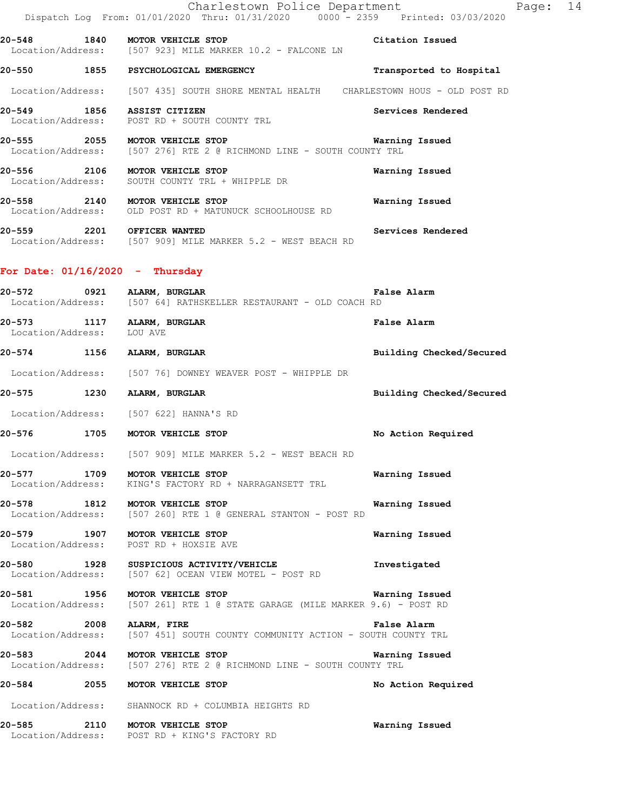|                                | Charlestown Police Department<br>Dispatch Log From: 01/01/2020 Thru: 01/31/2020 0000 - 2359 Printed: 03/03/2020 | Page: 14                |  |
|--------------------------------|-----------------------------------------------------------------------------------------------------------------|-------------------------|--|
| 20-548 1840 MOTOR VEHICLE STOP | Location/Address: [507 923] MILE MARKER 10.2 - FALCONE LN                                                       | Citation Issued         |  |
|                                | 20-550 1855 PSYCHOLOGICAL EMERGENCY                                                                             | Transported to Hospital |  |
|                                | Location/Address: [507 435] SOUTH SHORE MENTAL HEALTH CHARLESTOWN HOUS - OLD POST RD                            |                         |  |
| 20-549 1856 ASSIST CITIZEN     | Location/Address: POST RD + SOUTH COUNTY TRL                                                                    | Services Rendered       |  |
| 20-555 2055 MOTOR VEHICLE STOP | Location/Address: [507 276] RTE 2 @ RICHMOND LINE - SOUTH COUNTY TRL                                            | Warning Issued          |  |
| 20-556 2106 MOTOR VEHICLE STOP | Location/Address: SOUTH COUNTY TRL + WHIPPLE DR                                                                 | Warning Issued          |  |
| 20-558 2140 MOTOR VEHICLE STOP | Location/Address: OLD POST RD + MATUNUCK SCHOOLHOUSE RD                                                         | Warning Issued          |  |
| 20-559 2201 OFFICER WANTED     | Location/Address: [507 909] MILE MARKER 5.2 - WEST BEACH RD                                                     | Services Rendered       |  |

## **For Date: 01/16/2020 - Thursday**

| 20-572 0921 ALARM, BURGLAR                              | Location/Address: [507 64] RATHSKELLER RESTAURANT - OLD COACH RD                                                                  | False Alarm              |
|---------------------------------------------------------|-----------------------------------------------------------------------------------------------------------------------------------|--------------------------|
| 20-573 1117 ALARM, BURGLAR<br>Location/Address: LOU AVE |                                                                                                                                   | False Alarm              |
| 20-574 1156 ALARM, BURGLAR                              |                                                                                                                                   | Building Checked/Secured |
|                                                         | Location/Address: [507 76] DOWNEY WEAVER POST - WHIPPLE DR                                                                        |                          |
| 20-575 1230 ALARM, BURGLAR                              |                                                                                                                                   | Building Checked/Secured |
|                                                         | Location/Address: [507 622] HANNA'S RD                                                                                            |                          |
|                                                         | 20-576 1705 MOTOR VEHICLE STOP                                                                                                    | No Action Required       |
|                                                         | Location/Address: [507 909] MILE MARKER 5.2 - WEST BEACH RD                                                                       |                          |
|                                                         | 20-577 1709 MOTOR VEHICLE STOP<br>Location/Address: KING'S FACTORY RD + NARRAGANSETT TRL                                          | Warning Issued           |
|                                                         | 20-578 1812 MOTOR VEHICLE STOP<br>Location/Address: [507 260] RTE 1 @ GENERAL STANTON - POST RD                                   | Warning Issued           |
|                                                         | 20-579 1907 MOTOR VEHICLE STOP<br>Location/Address: POST RD + HOXSIE AVE                                                          | Warning Issued           |
|                                                         | 20-580 1928 SUSPICIOUS ACTIVITY/VEHICLE<br>Location/Address: [507 62] OCEAN VIEW MOTEL - POST RD                                  | Investigated             |
|                                                         | 20-581 1956 MOTOR VEHICLE STOP WARRER 9.6) - POST RD Location/Address: [507 261] RTE 1 @ STATE GARAGE (MILE MARKER 9.6) - POST RD | Warning Issued           |
| 20-582 2008 ALARM, FIRE                                 | Location/Address: [507 451] SOUTH COUNTY COMMUNITY ACTION - SOUTH COUNTY TRL                                                      | False Alarm              |
|                                                         | 20-583 2044 MOTOR VEHICLE STOP<br>Location/Address: [507 276] RTE 2 @ RICHMOND LINE - SOUTH COUNTY TRL                            | Warning Issued           |
|                                                         | 20-584 2055 MOTOR VEHICLE STOP                                                                                                    | No Action Required       |
|                                                         | Location/Address: SHANNOCK RD + COLUMBIA HEIGHTS RD                                                                               |                          |
|                                                         | 20-585 2110 MOTOR VEHICLE STOP<br>Location/Address: POST RD + KING'S FACTORY RD                                                   | Warning Issued           |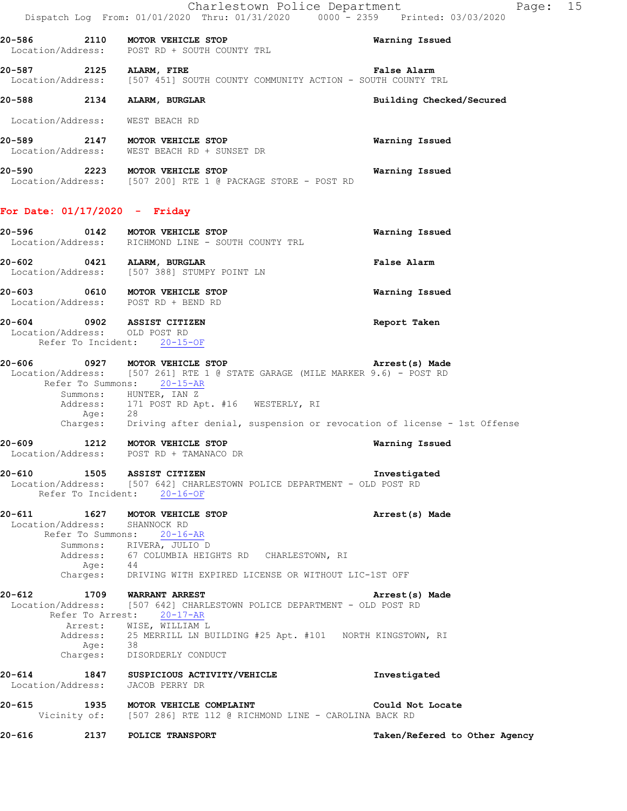|                                                             | - 1 -<br>Dispatch Log From: 01/01/2020 Thru: 01/31/2020 0000 - 2359 Printed: 03/03/2020                                                      |                          |
|-------------------------------------------------------------|----------------------------------------------------------------------------------------------------------------------------------------------|--------------------------|
|                                                             | 20-586 2110 MOTOR VEHICLE STOP<br>Location/Address: POST RD + SOUTH COUNTY TRL                                                               | Warning Issued           |
| 20-587 2125 ALARM, FIRE                                     | Location/Address: [507 451] SOUTH COUNTY COMMUNITY ACTION - SOUTH COUNTY TRL                                                                 | False Alarm              |
| 20-588 2134 ALARM, BURGLAR                                  |                                                                                                                                              | Building Checked/Secured |
| Location/Address: WEST BEACH RD                             |                                                                                                                                              |                          |
|                                                             | 20-589 2147 MOTOR VEHICLE STOP<br>Location/Address: WEST BEACH RD + SUNSET DR                                                                | <b>Warning Issued</b>    |
|                                                             | 20-590 2223 MOTOR VEHICLE STOP<br>Location/Address: [507 200] RTE 1 @ PACKAGE STORE - POST RD                                                | <b>Warning Issued</b>    |
| For Date: $01/17/2020 -$ Friday                             |                                                                                                                                              |                          |
|                                                             | 20-596 0142 MOTOR VEHICLE STOP<br>Location/Address: RICHMOND LINE - SOUTH COUNTY TRL                                                         | Warning Issued           |
| 20-602 0421 ALARM, BURGLAR                                  | Location/Address: [507 388] STUMPY POINT LN                                                                                                  | False Alarm              |
|                                                             | 20-603 0610 MOTOR VEHICLE STOP<br>Location/Address: POST RD + BEND RD                                                                        | Warning Issued           |
| 20-604 0902 ASSIST CITIZEN<br>Location/Address: OLD POST RD | Refer To Incident: 20-15-OF                                                                                                                  | Report Taken             |
|                                                             | 20-606 0927 MOTOR VEHICLE STOP<br>Location/Address: [507 261] RTE 1 @ STATE GARAGE (MILE MARKER 9.6) - POST RD<br>Refer To Summons: 20-15-AR | Arrest(s) Made           |
|                                                             | Summons: HUNTER, IAN Z<br>Address: 171 POST RD Apt. #16 WESTERLY, RI<br>Age: 28                                                              |                          |
|                                                             | Charges: Driving after denial, suspension or revocation of license - 1st Offense                                                             |                          |
|                                                             | 20-609 1212 MOTOR VEHICLE STOP<br>Location/Address: POST RD + TAMANACO DR                                                                    | Warning Issued           |
| $20 - 610$<br>1505                                          | ASSIST CITIZEN<br>Location/Address: [507 642] CHARLESTOWN POLICE DEPARTMENT - OLD POST RD<br>Refer To Incident: 20-16-OF                     | Investigated             |
| 20-611<br>Location/Address:<br>Refer To Summons:            | 1627 MOTOR VEHICLE STOP<br>SHANNOCK RD<br>$20 - 16 - AR$                                                                                     | Arrest(s) Made           |
| Age:<br>Charges:                                            | Summons: RIVERA, JULIO D<br>Address: 67 COLUMBIA HEIGHTS RD CHARLESTOWN, RI<br>44<br>DRIVING WITH EXPIRED LICENSE OR WITHOUT LIC-1ST OFF     |                          |
| 20-612                                                      |                                                                                                                                              |                          |
| 1709<br>Refer To Arrest:                                    | <b>WARRANT ARREST</b><br>Location/Address: [507 642] CHARLESTOWN POLICE DEPARTMENT - OLD POST RD<br>20-17-AR                                 | Arrest(s) Made           |
| Arrest:                                                     | WISE, WILLIAM L<br>Address: 25 MERRILL LN BUILDING #25 Apt. #101 NORTH KINGSTOWN, RI                                                         |                          |

 Age: 38 Charges: DISORDERLY CONDUCT

**20-614 1847 SUSPICIOUS ACTIVITY/VEHICLE Investigated**  Location/Address: JACOB PERRY DR

**20-615 1935 MOTOR VEHICLE COMPLAINT Could Not Locate**  Vicinity of: [507 286] RTE 112 @ RICHMOND LINE - CAROLINA BACK RD

**20-616 2137 POLICE TRANSPORT Taken/Refered to Other Agency**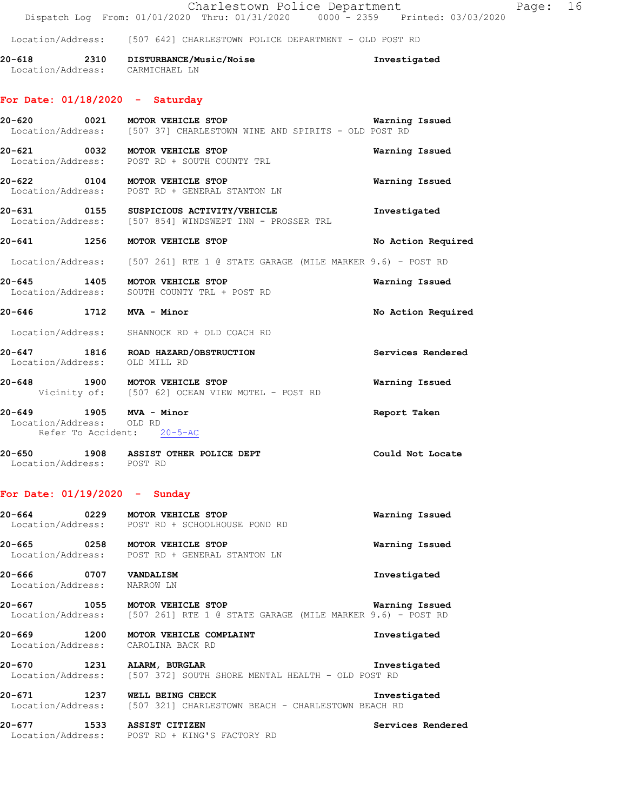### Location/Address: [507 642] CHARLESTOWN POLICE DEPARTMENT - OLD POST RD

**20-618 2310 DISTURBANCE/Music/Noise Investigated**  Location/Address: CARMICHAEL LN

## **For Date: 01/18/2020 - Saturday**

|                                                     | 20-620 0021 MOTOR VEHICLE STOP<br>Location/Address: [507 37] CHARLESTOWN WINE AND SPIRITS - OLD POST RD | Warning Issued     |
|-----------------------------------------------------|---------------------------------------------------------------------------------------------------------|--------------------|
|                                                     | 20-621 0032 MOTOR VEHICLE STOP<br>Location/Address: POST RD + SOUTH COUNTY TRL                          | Warning Issued     |
|                                                     | 20-622 0104 MOTOR VEHICLE STOP<br>Location/Address: POST RD + GENERAL STANTON LN                        | Warning Issued     |
|                                                     | 20-631 0155 SUSPICIOUS ACTIVITY/VEHICLE<br>Location/Address: [507 854] WINDSWEPT INN - PROSSER TRL      | Investigated       |
|                                                     | 20-641 1256 MOTOR VEHICLE STOP                                                                          | No Action Required |
|                                                     | Location/Address: [507 261] RTE 1 @ STATE GARAGE (MILE MARKER 9.6) - POST RD                            |                    |
|                                                     | 20-645 1405 MOTOR VEHICLE STOP<br>Location/Address: SOUTH COUNTY TRL + POST RD                          | Warning Issued     |
| 20-646 1712 MVA - Minor                             |                                                                                                         | No Action Required |
|                                                     | Location/Address: SHANNOCK RD + OLD COACH RD                                                            |                    |
| Location/Address: OLD MILL RD                       | 20-647 1816 ROAD HAZARD/OBSTRUCTION                                                                     | Services Rendered  |
|                                                     | 20-648 1900 MOTOR VEHICLE STOP<br>Vicinity of: [507 62] OCEAN VIEW MOTEL - POST RD                      | Warning Issued     |
| 20-649 1905 MVA - Minor<br>Location/Address: OLD RD | Refer To Accident: 20-5-AC                                                                              | Report Taken       |

**20-650 1908 ASSIST OTHER POLICE DEPT Could Not Locate**  Location/Address: POST RD

### **For Date: 01/19/2020 - Sunday**

| 20-664 0229 MOTOR VEHICLE STOP                    | Location/Address: POST RD + SCHOOLHOUSE POND RD                                                    | Warning Issued    |
|---------------------------------------------------|----------------------------------------------------------------------------------------------------|-------------------|
|                                                   | Location/Address: POST RD + GENERAL STANTON LN                                                     | Warning Issued    |
| 20-666 0707<br>Location/Address: NARROW LN        | <b>VANDALISM</b>                                                                                   | Investigated      |
| 20-667 1055                                       | MOTOR VEHICLE STOP<br>Location/Address: [507 261] RTE 1 @ STATE GARAGE (MILE MARKER 9.6) - POST RD | Warning Issued    |
| 20-669 1200<br>Location/Address: CAROLINA BACK RD | MOTOR VEHICLE COMPLAINT                                                                            | Investigated      |
| 20-670                                            | 1231 ALARM, BURGLAR<br>Location/Address: [507 372] SOUTH SHORE MENTAL HEALTH - OLD POST RD         | Investigated      |
| 20-671<br>1237                                    | WELL BEING CHECK<br>Location/Address: [507 321] CHARLESTOWN BEACH - CHARLESTOWN BEACH RD           | Investigated      |
| 20-677<br>1533<br>Location/Address:               | <b>ASSIST CITIZEN</b><br>POST RD + KING'S FACTORY RD                                               | Services Rendered |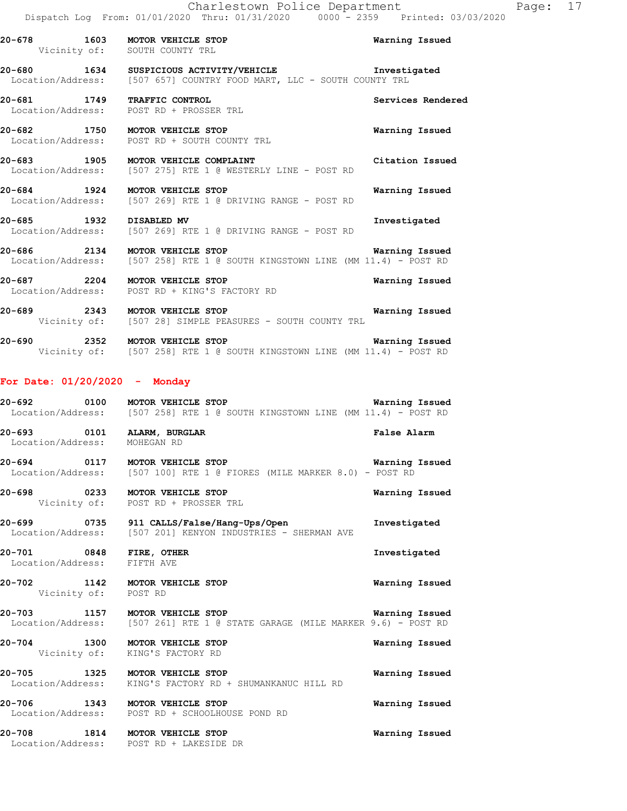**20-678 1603 MOTOR VEHICLE STOP Warning Issued**  Vicinity of: SOUTH COUNTY TRL **20-680 1634 SUSPICIOUS ACTIVITY/VEHICLE Investigated**  Location/Address: [507 657] COUNTRY FOOD MART, LLC - SOUTH COUNTY TRL **20-681 1749 TRAFFIC CONTROL Services Rendered**  Location/Address: POST RD + PROSSER TRL **20-682 1750 MOTOR VEHICLE STOP Warning Issued**  Location/Address: POST RD + SOUTH COUNTY TRL **20-683 1905 MOTOR VEHICLE COMPLAINT Citation Issued** Construction Construction Construction Address: [507 275] RTE 1 @ WESTERLY LINE - POST RD [507 275] RTE 1 @ WESTERLY LINE - POST RD **20-684 1924 MOTOR VEHICLE STOP Warning Issued**  Location/Address: [507 269] RTE 1 @ DRIVING RANGE - POST RD **20-685 1932 DISABLED MV Investigated**  Location/Address: [507 269] RTE 1 @ DRIVING RANGE - POST RD

**20-686 2134 MOTOR VEHICLE STOP Warning Issued**  Location/Address: [507 258] RTE 1 @ SOUTH KINGSTOWN LINE (MM 11.4) - POST RD

**20-687 2204 MOTOR VEHICLE STOP Warning Issued**  Location/Address: POST RD + KING'S FACTORY RD

**20-689 2343 MOTOR VEHICLE STOP Warning Issued**  Vicinity of: [507 28] SIMPLE PEASURES - SOUTH COUNTY TRL

**20-690 2352 MOTOR VEHICLE STOP Warning Issued**  Vicinity of: [507 258] RTE 1 @ SOUTH KINGSTOWN LINE (MM 11.4) - POST RD

## **For Date: 01/20/2020 - Monday**

**20-692 0100 MOTOR VEHICLE STOP Warning Issued**  Location/Address: [507 258] RTE 1 @ SOUTH KINGSTOWN LINE (MM 11.4) - POST RD **20-693 0101 ALARM, BURGLAR False Alarm**  Location/Address: MOHEGAN RD **20-694 0117 MOTOR VEHICLE STOP Warning Issued**  Location/Address: [507 100] RTE 1 @ FIORES (MILE MARKER 8.0) - POST RD **20-698 0233 MOTOR VEHICLE STOP Warning Issued**  Vicinity of: POST RD + PROSSER TRL **20-699 0735 911 CALLS/False/Hang-Ups/Open Investigated**  Location/Address: [507 201] KENYON INDUSTRIES - SHERMAN AVE **20-701 0848 FIRE, OTHER Investigated**  Location/Address: FIFTH AVE **20-702 1142 MOTOR VEHICLE STOP Warning Issued**  Vicinity of: POST RD **20-703 1157 MOTOR VEHICLE STOP Warning Issued**  Location/Address: [507 261] RTE 1 @ STATE GARAGE (MILE MARKER 9.6) - POST RD **20-704 1300 MOTOR VEHICLE STOP Warning Issued**  Vicinity of: KING'S FACTORY RD **20-705 1325 MOTOR VEHICLE STOP Warning Issued**  Location/Address: KING'S FACTORY RD + SHUMANKANUC HILL RD **20-706 1343 MOTOR VEHICLE STOP Warning Issued**  POST RD + SCHOOLHOUSE POND RD

**20-708 1814 MOTOR VEHICLE STOP Warning Issued**  Location/Address: POST RD + LAKESIDE DR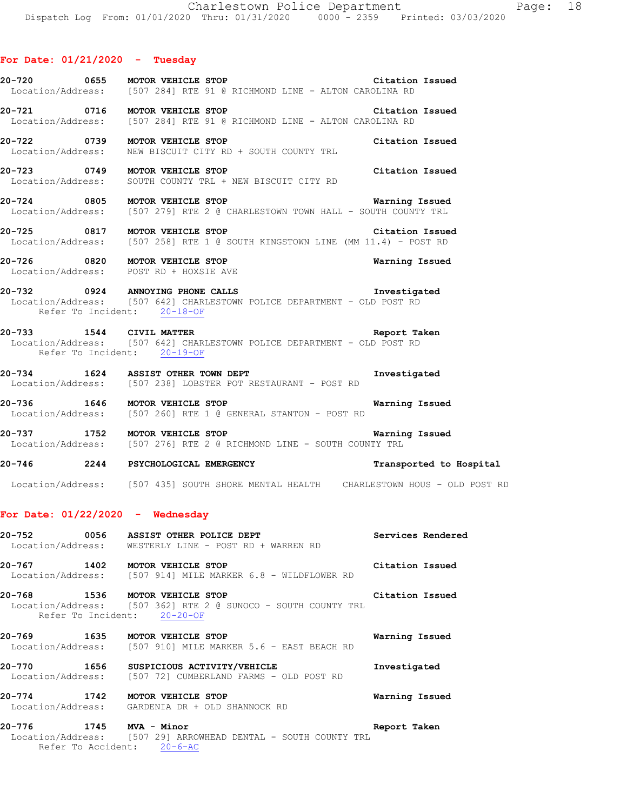### **For Date: 01/21/2020 - Tuesday**

|                          | 20-720 0655 MOTOR VEHICLE STOP<br>Location/Address: [507 284] RTE 91 @ RICHMOND LINE - ALTON CAROLINA RD                                   | Citation Issued |
|--------------------------|--------------------------------------------------------------------------------------------------------------------------------------------|-----------------|
|                          | 20-721 0716 MOTOR VEHICLE STOP<br>Location/Address: [507 284] RTE 91 @ RICHMOND LINE - ALTON CAROLINA RD                                   | Citation Issued |
|                          | 20-722 0739 MOTOR VEHICLE STOP<br>Location/Address: NEW BISCUIT CITY RD + SOUTH COUNTY TRL                                                 | Citation Issued |
|                          | 20-723 0749 MOTOR VEHICLE STOP<br>Location/Address: SOUTH COUNTY TRL + NEW BISCUIT CITY RD                                                 | Citation Issued |
|                          | 20-724 0805 MOTOR VEHICLE STOP<br>Location/Address: [507 279] RTE 2 @ CHARLESTOWN TOWN HALL - SOUTH COUNTY TRL                             | Warning Issued  |
|                          | 20-725 0817 MOTOR VEHICLE STOP<br>Location/Address: [507 258] RTE 1 @ SOUTH KINGSTOWN LINE (MM 11.4) - POST RD                             | Citation Issued |
|                          | 20-726 0820 MOTOR VEHICLE STOP<br>Location/Address: POST RD + HOXSIE AVE                                                                   | Warning Issued  |
|                          | 20-732 0924 ANNOYING PHONE CALLS<br>Location/Address: [507 642] CHARLESTOWN POLICE DEPARTMENT - OLD POST RD<br>Refer To Incident: 20-18-OF | Investigated    |
| 20-733 1544 CIVIL MATTER | Location/Address: [507 642] CHARLESTOWN POLICE DEPARTMENT - OLD POST RD<br>Refer To Incident: 20-19-OF                                     | Report Taken    |
|                          | 20-734 1624 ASSIST OTHER TOWN DEPT<br>Location/Address: [507 238] LOBSTER POT RESTAURANT - POST RD                                         | Investigated    |
|                          | 20-736 1646 MOTOR VEHICLE STOP<br>Location/Address: [507 260] RTE 1 @ GENERAL STANTON - POST RD                                            | Warning Issued  |
|                          | 20-737 1752 MOTOR VEHICLE STOP                                                                                                             | Warning Issued  |

Location/Address: [507 276] RTE 2 @ RICHMOND LINE - SOUTH COUNTY TRL

**20-746 2244 PSYCHOLOGICAL EMERGENCY Transported to Hospital**  Location/Address: [507 435] SOUTH SHORE MENTAL HEALTH CHARLESTOWN HOUS - OLD POST RD

### **For Date: 01/22/2020 - Wednesday**

| 20-752 0056 | ASSIST OTHER POLICE DEPT                                                                                                                                                                                                                                                                                                                                                             | Services Rendered                                                                                                                                                                                                              |
|-------------|--------------------------------------------------------------------------------------------------------------------------------------------------------------------------------------------------------------------------------------------------------------------------------------------------------------------------------------------------------------------------------------|--------------------------------------------------------------------------------------------------------------------------------------------------------------------------------------------------------------------------------|
|             | Location/Address: WESTERLY LINE - POST RD + WARREN RD                                                                                                                                                                                                                                                                                                                                |                                                                                                                                                                                                                                |
|             | 20-767 1402 MOTOR VEHICLE STOP                                                                                                                                                                                                                                                                                                                                                       | Citation Issued                                                                                                                                                                                                                |
|             | Location/Address: [507 914] MILE MARKER 6.8 - WILDFLOWER RD                                                                                                                                                                                                                                                                                                                          |                                                                                                                                                                                                                                |
|             |                                                                                                                                                                                                                                                                                                                                                                                      | Citation Issued                                                                                                                                                                                                                |
|             | Location/Address: [507 362] RTE 2 @ SUNOCO - SOUTH COUNTY TRL<br>Refer To Incident: 20-20-OF                                                                                                                                                                                                                                                                                         |                                                                                                                                                                                                                                |
| 20-769      | 1635 MOTOR VEHICLE STOP                                                                                                                                                                                                                                                                                                                                                              | Warning Issued                                                                                                                                                                                                                 |
|             | Location/Address: [507 910] MILE MARKER 5.6 - EAST BEACH RD                                                                                                                                                                                                                                                                                                                          |                                                                                                                                                                                                                                |
|             | 20-770 1656 SUSPICIOUS ACTIVITY/VEHICLE                                                                                                                                                                                                                                                                                                                                              | Investigated                                                                                                                                                                                                                   |
|             | Location/Address: [507 72] CUMBERLAND FARMS - OLD POST RD                                                                                                                                                                                                                                                                                                                            |                                                                                                                                                                                                                                |
|             | 20-774 1742 MOTOR VEHICLE STOP                                                                                                                                                                                                                                                                                                                                                       | Warning Issued                                                                                                                                                                                                                 |
|             | Location/Address: GARDENIA DR + OLD SHANNOCK RD                                                                                                                                                                                                                                                                                                                                      |                                                                                                                                                                                                                                |
| 007.77      | $\overline{1}$ $\overline{1}$ $\overline{1}$ $\overline{1}$ $\overline{1}$ $\overline{1}$ $\overline{1}$ $\overline{1}$ $\overline{1}$ $\overline{1}$ $\overline{1}$ $\overline{1}$ $\overline{1}$ $\overline{1}$ $\overline{1}$ $\overline{1}$ $\overline{1}$ $\overline{1}$ $\overline{1}$ $\overline{1}$ $\overline{1}$ $\overline{1}$ $\overline{1}$ $\overline{1}$ $\overline{$ | and the second control of the second control of the second control of the second control of the second control of the second control of the second control of the second control of the second control of the second control o |

**20-776 1745 MVA - Minor Report Taken**  Location/Address: [507 29] ARROWHEAD DENTAL - SOUTH COUNTY TRL Refer To Accident: 20-6-AC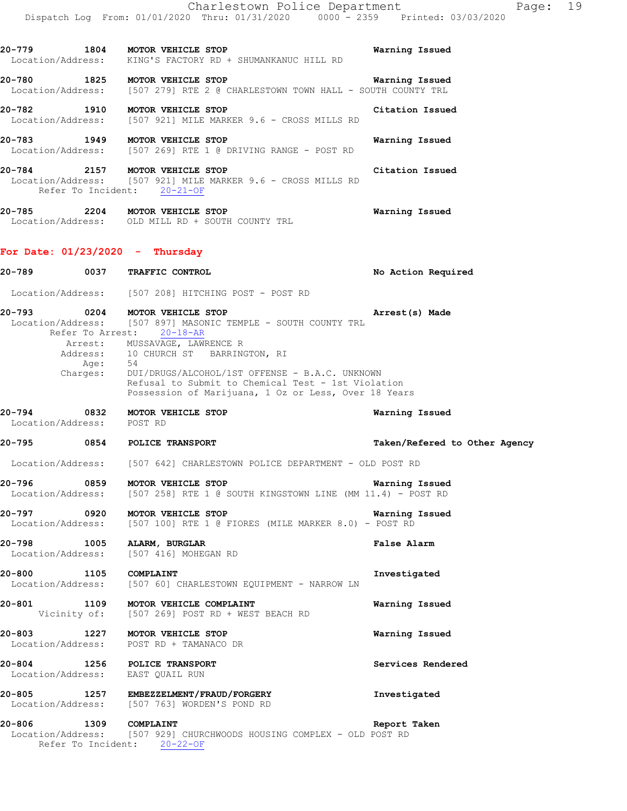**20-779 1804 MOTOR VEHICLE STOP Warning Issued**  Location/Address: KING'S FACTORY RD + SHUMANKANUC HILL RD **20-780 1825 MOTOR VEHICLE STOP WATH WATHING ISSUED**<br>Location/Address: [507 279] RTE 2 @ CHARLESTOWN TOWN HALL - SOUTH COUNTY TRL [507 279] RTE 2 @ CHARLESTOWN TOWN HALL - SOUTH COUNTY TRL **20-782 1910 MOTOR VEHICLE STOP Citation Issued**  Location/Address: [507 921] MILE MARKER 9.6 - CROSS MILLS RD **20-783 1949 MOTOR VEHICLE STOP Warning Issued**  Location/Address: [507 269] RTE 1 @ DRIVING RANGE - POST RD **20-784 2157 MOTOR VEHICLE STOP Citation Issued**  Location/Address: [507 921] MILE MARKER 9.6 - CROSS MILLS RD Refer To Incident: 20-21-OF **20-785 2204 MOTOR VEHICLE STOP Warning Issued**  Location/Address: OLD MILL RD + SOUTH COUNTY TRL **For Date: 01/23/2020 - Thursday 20-789 0037 TRAFFIC CONTROL No Action Required**  Location/Address: [507 208] HITCHING POST - POST RD **20-793 0204 MOTOR VEHICLE STOP Arrest(s) Made**  Location/Address: [507 897] MASONIC TEMPLE - SOUTH COUNTY TRL Refer To Arrest: 20-18-AR Arrest: MUSSAVAGE, LAWRENCE R Address: 10 CHURCH ST BARRINGTON, RI<br>Age: 54 Age: Charges: DUI/DRUGS/ALCOHOL/1ST OFFENSE - B.A.C. UNKNOWN Refusal to Submit to Chemical Test - 1st Violation Possession of Marijuana, 1 Oz or Less, Over 18 Years **20-794 0832 MOTOR VEHICLE STOP Warning Issued**  Location/Address: POST RD **20-795 0854 POLICE TRANSPORT Taken/Refered to Other Agency** Location/Address: [507 642] CHARLESTOWN POLICE DEPARTMENT - OLD POST RD **20-796 0859 MOTOR VEHICLE STOP Warning Issued**  Location/Address: [507 258] RTE 1 @ SOUTH KINGSTOWN LINE (MM 11.4) - POST RD **20-797 0920 MOTOR VEHICLE STOP Warning Issued**  Location/Address: [507 100] RTE 1 @ FIORES (MILE MARKER 8.0) - POST RD **20-798 1005 ALARM, BURGLAR False Alarm**  Location/Address: [507 416] MOHEGAN RD **20-800 1105 COMPLAINT Investigated Investigated Investigated Investigated Investigated Instant Investigated** [507 60] CHARLESTOWN EQUIPMENT - NARROW LN **20-801 1109 MOTOR VEHICLE COMPLAINT Warning Issued** Vicinity of: [507 269] POST RD + WEST BEACH RD [507 269] POST RD + WEST BEACH RD **20-803 1227 MOTOR VEHICLE STOP Warning Issued** 

 Location/Address: POST RD + TAMANACO DR **20-804 1256 POLICE TRANSPORT Services Rendered**  Location/Address: EAST QUAIL RUN

**20-805 1257 EMBEZZELMENT/FRAUD/FORGERY Investigated**  Location/Address: [507 763] WORDEN'S POND RD

**20-806 1309 COMPLAINT Report Taken**  Location/Address: [507 929] CHURCHWOODS HOUSING COMPLEX - OLD POST RD Refer To Incident: 20-22-OF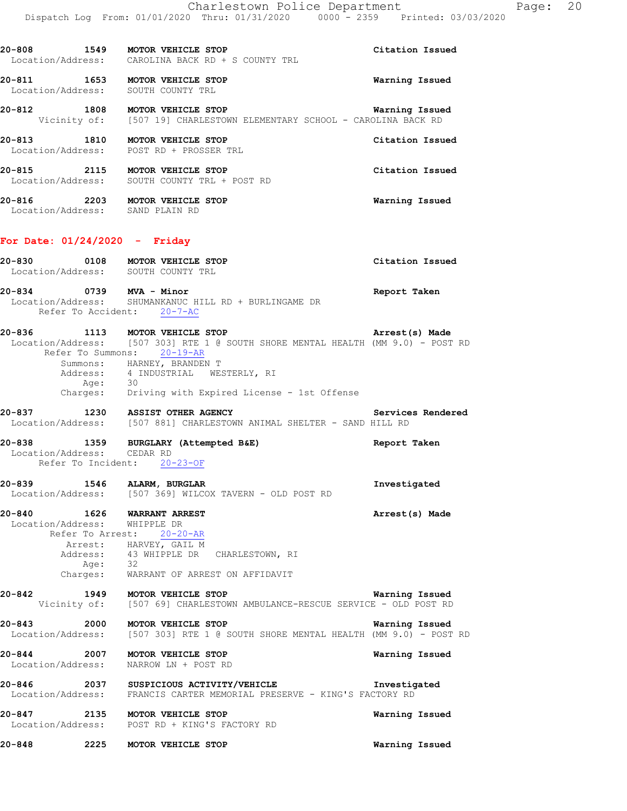**20-808 1549 MOTOR VEHICLE STOP Citation Issued** 

 Location/Address: CAROLINA BACK RD + S COUNTY TRL **20-811 1653 MOTOR VEHICLE STOP Warning Issued**  Location/Address: SOUTH COUNTY TRL **20-812 1808 MOTOR VEHICLE STOP Warning Issued**  Vicinity of: [507 19] CHARLESTOWN ELEMENTARY SCHOOL - CAROLINA BACK RD **20-813** 1810 MOTOR VEHICLE STOP Citation Issued Location/Address: POST RD + PROSSER TRL POST RD + PROSSER TRL **20-815 2115 MOTOR VEHICLE STOP Citation Issued**  Location/Address: SOUTH COUNTY TRL + POST RD **20-816 2203 MOTOR VEHICLE STOP Warning Issued**  Location/Address: SAND PLAIN RD **For Date: 01/24/2020 - Friday 20-830 0108 MOTOR VEHICLE STOP Citation Issued**  Location/Address: SOUTH COUNTY TRL **20-834 0739 MVA - Minor Report Taken**  Location/Address: SHUMANKANUC HILL RD + BURLINGAME DR Refer To Accident: 20-7-AC **20-836 1113 MOTOR VEHICLE STOP Arrest(s) Made**  Location/Address: [507 303] RTE 1 @ SOUTH SHORE MENTAL HEALTH (MM 9.0) - POST RD Refer To Summons: 20-19-AR Summons: HARNEY, BRANDEN T Address: 4 INDUSTRIAL WESTERLY, RI Age: 30 Charges: Driving with Expired License - 1st Offense **20-837 1230 ASSIST OTHER AGENCY Services Rendered**  Location/Address: [507 881] CHARLESTOWN ANIMAL SHELTER - SAND HILL RD **20-838 1359 BURGLARY (Attempted B&E) Report Taken**  Location/Address: CEDAR RD Refer To Incident: 20-23-OF **20-839 1546 ALARM, BURGLAR Investigated**  Location/Address: [507 369] WILCOX TAVERN - OLD POST RD **20-840 1626 WARRANT ARREST Arrest(s) Made**  Location/Address: WHIPPLE DR Refer To Arrest: 20-20-AR Arrest: HARVEY, GAIL M Address: 43 WHIPPLE DR CHARLESTOWN, RI Age: 32 Charges: WARRANT OF ARREST ON AFFIDAVIT **20-842 1949 MOTOR VEHICLE STOP WATH WATHING ISSUED**<br>Vicinity of: [507 69] CHARLESTOWN AMBULANCE-RESCUE SERVICE - OLD POST RD [507 69] CHARLESTOWN AMBULANCE-RESCUE SERVICE - OLD POST RD **20-843 2000 MOTOR VEHICLE STOP Warning Issued**  Location/Address: [507 303] RTE 1 @ SOUTH SHORE MENTAL HEALTH (MM 9.0) - POST RD **20-844 2007 MOTOR VEHICLE STOP Warning Issued**  Location/Address: NARROW LN + POST RD **20-846 2037 SUSPICIOUS ACTIVITY/VEHICLE Investigated**  Location/Address: FRANCIS CARTER MEMORIAL PRESERVE - KING'S FACTORY RD **20-847 2135 MOTOR VEHICLE STOP Warning Issued**  Location/Address: POST RD + KING'S FACTORY RD **20-848 2225 MOTOR VEHICLE STOP Warning Issued**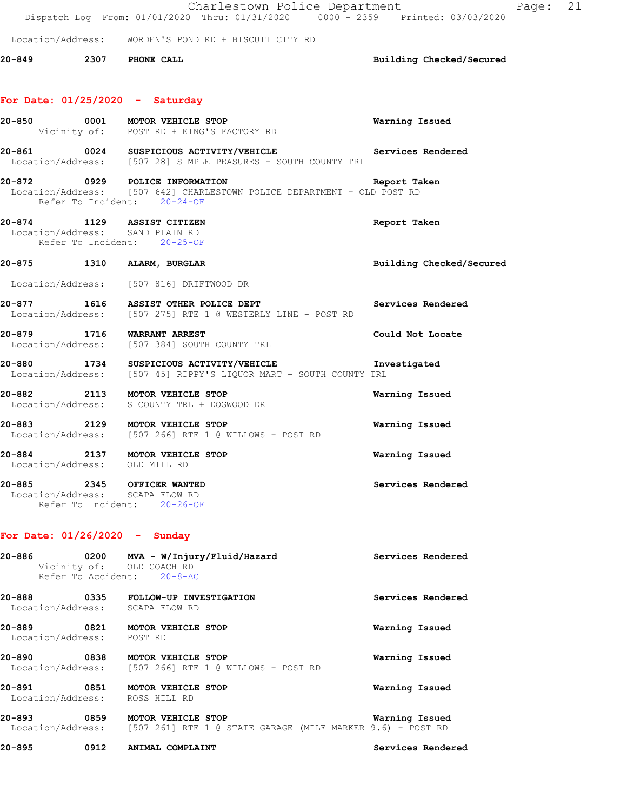|        |                                                                                              | Charlestown Police Department<br>Dispatch Log From: 01/01/2020 Thru: 01/31/2020 0000 - 2359 Printed: 03/03/2020            |                          | Page: | 21 |
|--------|----------------------------------------------------------------------------------------------|----------------------------------------------------------------------------------------------------------------------------|--------------------------|-------|----|
|        |                                                                                              | Location/Address: WORDEN'S POND RD + BISCUIT CITY RD                                                                       |                          |       |    |
|        | 20-849 2307 PHONE CALL                                                                       |                                                                                                                            | Building Checked/Secured |       |    |
|        | For Date: $01/25/2020 -$ Saturday                                                            |                                                                                                                            |                          |       |    |
|        |                                                                                              | 20-850 0001 MOTOR VEHICLE STOP<br>Vicinity of: POST RD + KING'S FACTORY RD                                                 | Warning Issued           |       |    |
|        |                                                                                              | 20-861 0024 SUSPICIOUS ACTIVITY/VEHICLE Services Rendered<br>Location/Address: [507 28] SIMPLE PEASURES - SOUTH COUNTY TRL |                          |       |    |
|        | Refer To Incident: 20-24-OF                                                                  | 20-872 0929 POLICE INFORMATION<br>Location/Address: [507 642] CHARLESTOWN POLICE DEPARTMENT - OLD POST RD                  | Report Taken             |       |    |
|        | 20-874 1129 ASSIST CITIZEN<br>Location/Address: SAND PLAIN RD<br>Refer To Incident: 20-25-OF |                                                                                                                            | Report Taken             |       |    |
|        | 20-875 1310 ALARM, BURGLAR                                                                   |                                                                                                                            | Building Checked/Secured |       |    |
|        |                                                                                              | Location/Address: [507 816] DRIFTWOOD DR                                                                                   |                          |       |    |
|        |                                                                                              | 20-877 1616 ASSIST OTHER POLICE DEPT<br>Location/Address: [507 275] RTE 1 @ WESTERLY LINE - POST RD                        | Services Rendered        |       |    |
|        | 20-879 1716 WARRANT ARREST                                                                   | Location/Address: [507 384] SOUTH COUNTY TRL                                                                               | Could Not Locate         |       |    |
|        |                                                                                              | 20-880 1734 SUSPICIOUS ACTIVITY/VEHICLE Inv<br>Location/Address: [507 45] RIPPY'S LIQUOR MART - SOUTH COUNTY TRL           | Investigated             |       |    |
|        |                                                                                              | 20-882 2113 MOTOR VEHICLE STOP<br>Location/Address: S COUNTY TRL + DOGWOOD DR                                              | Warning Issued           |       |    |
|        |                                                                                              | 20-883 2129 MOTOR VEHICLE STOP<br>Location/Address: [507 266] RTE 1 @ WILLOWS - POST RD                                    | Warning Issued           |       |    |
| 20-884 | Location/Address: OLD MILL RD                                                                | 2137 MOTOR VEHICLE STOP                                                                                                    | Warning Issued           |       |    |
|        | 20-885 2345 OFFICER WANTED<br>Location/Address: SCAPA FLOW RD<br>Refer To Incident: 20-26-OF |                                                                                                                            | Services Rendered        |       |    |
|        | For Date: $01/26/2020 -$ Sunday                                                              |                                                                                                                            |                          |       |    |
|        | 20-886 2014<br>Vicinity of: OLD COACH RD<br>Refer To Accident: 20-8-AC                       | 0200 MVA - W/Injury/Fluid/Hazard                                                                                           | Services Rendered        |       |    |
|        | Location/Address: SCAPA FLOW RD                                                              | 20-888 0335 FOLLOW-UP INVESTIGATION                                                                                        | Services Rendered        |       |    |
|        | Location/Address: POST RD                                                                    | 20-889 0821 MOTOR VEHICLE STOP                                                                                             | Warning Issued           |       |    |
|        |                                                                                              | 20-890 0838 MOTOR VEHICLE STOP<br>Location/Address: [507 266] RTE 1 @ WILLOWS - POST RD                                    | Warning Issued           |       |    |
|        | Location/Address:                                                                            | ROSS HILL RD                                                                                                               | Warning Issued           |       |    |
|        |                                                                                              | 20-893 0859 MOTOR VEHICLE STOP<br>Location/Address: [507 261] RTE 1 @ STATE GARAGE (MILE MARKER 9.6) - POST RD             | Warning Issued           |       |    |
|        | 20-895      0912                                                                             | ANIMAL COMPLAINT                                                                                                           | Services Rendered        |       |    |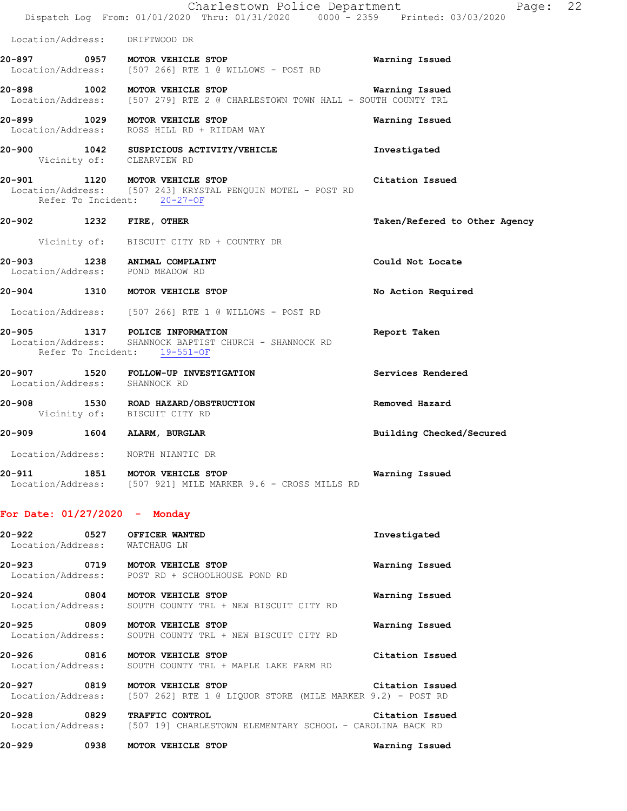|                                                                  | Charlestown Police Department<br>Dispatch Log From: 01/01/2020 Thru: 01/31/2020 0000 - 2359 Printed: 03/03/2020              | Page: 22                      |
|------------------------------------------------------------------|------------------------------------------------------------------------------------------------------------------------------|-------------------------------|
| Location/Address: DRIFTWOOD DR                                   |                                                                                                                              |                               |
|                                                                  | 20-897 0957 MOTOR VEHICLE STOP<br>Location/Address: [507 266] RTE 1 @ WILLOWS - POST RD                                      | Warning Issued                |
|                                                                  | 20-898 1002 MOTOR VEHICLE STOP<br>Location/Address: [507 279] RTE 2 @ CHARLESTOWN TOWN HALL - SOUTH COUNTY TRL               | Warning Issued                |
|                                                                  | 20-899 1029 MOTOR VEHICLE STOP<br>Location/Address: ROSS HILL RD + RIIDAM WAY                                                | Warning Issued                |
| Vicinity of: CLEARVIEW RD                                        | 20-900 1042 SUSPICIOUS ACTIVITY/VEHICLE                                                                                      | Investigated                  |
|                                                                  | 20-901 1120 MOTOR VEHICLE STOP<br>Location/Address: [507 243] KRYSTAL PENQUIN MOTEL - POST RD<br>Refer To Incident: 20-27-OF | Citation Issued               |
| 20-902 1232 FIRE, OTHER                                          |                                                                                                                              | Taken/Refered to Other Agency |
|                                                                  | Vicinity of: BISCUIT CITY RD + COUNTRY DR                                                                                    |                               |
| 20-903 1238 ANIMAL COMPLAINT<br>Location/Address: POND MEADOW RD |                                                                                                                              | Could Not Locate              |
|                                                                  | 20-904 1310 MOTOR VEHICLE STOP                                                                                               | No Action Required            |
|                                                                  | Location/Address: [507 266] RTE 1 @ WILLOWS - POST RD                                                                        |                               |
|                                                                  | 20-905 1317 POLICE INFORMATION<br>Location/Address: SHANNOCK BAPTIST CHURCH - SHANNOCK RD<br>Refer To Incident: 19-551-OF    | Report Taken                  |
| Location/Address: SHANNOCK RD                                    | 20-907 1520 FOLLOW-UP INVESTIGATION                                                                                          | Services Rendered             |
| Vicinity of: BISCUIT CITY RD                                     | 20-908 1530 ROAD HAZARD/OBSTRUCTION                                                                                          | Removed Hazard                |
| 20-909 1604 ALARM, BURGLAR                                       |                                                                                                                              | Building Checked/Secured      |
| Location/Address: NORTH NIANTIC DR                               |                                                                                                                              |                               |
|                                                                  | 20-911 1851 MOTOR VEHICLE STOP<br>Location/Address: [507 921] MILE MARKER 9.6 - CROSS MILLS RD                               | Warning Issued                |
| For Date: $01/27/2020 -$ Monday                                  |                                                                                                                              |                               |
| 20-922<br>Location/Address: WATCHAUG LN                          | 0527 OFFICER WANTED                                                                                                          | Investigated                  |
|                                                                  | 20-923 0719 MOTOR VEHICLE STOP<br>Location/Address: POST RD + SCHOOLHOUSE POND RD                                            | Warning Issued                |
| 20-924                                                           | 0804 MOTOR VEHICLE STOP<br>Location/Address: SOUTH COUNTY TRL + NEW BISCUIT CITY RD                                          | Warning Issued                |
|                                                                  | 20-925 0809 MOTOR VEHICLE STOP<br>Location/Address: SOUTH COUNTY TRL + NEW BISCUIT CITY RD                                   | Warning Issued                |
|                                                                  | 20-926 0816 MOTOR VEHICLE STOP<br>Location/Address: SOUTH COUNTY TRL + MAPLE LAKE FARM RD                                    | Citation Issued               |
|                                                                  | 20-927 0819 MOTOR VEHICLE STOP<br>Location/Address: [507 262] RTE 1 @ LIQUOR STORE (MILE MARKER 9.2) - POST RD               | Citation Issued               |
| 20-928                                                           | 0829 TRAFFIC CONTROL<br>Location/Address: [507 19] CHARLESTOWN ELEMENTARY SCHOOL - CAROLINA BACK RD                          | Citation Issued               |
| 20-929                                                           | 0938 MOTOR VEHICLE STOP                                                                                                      | Warning Issued                |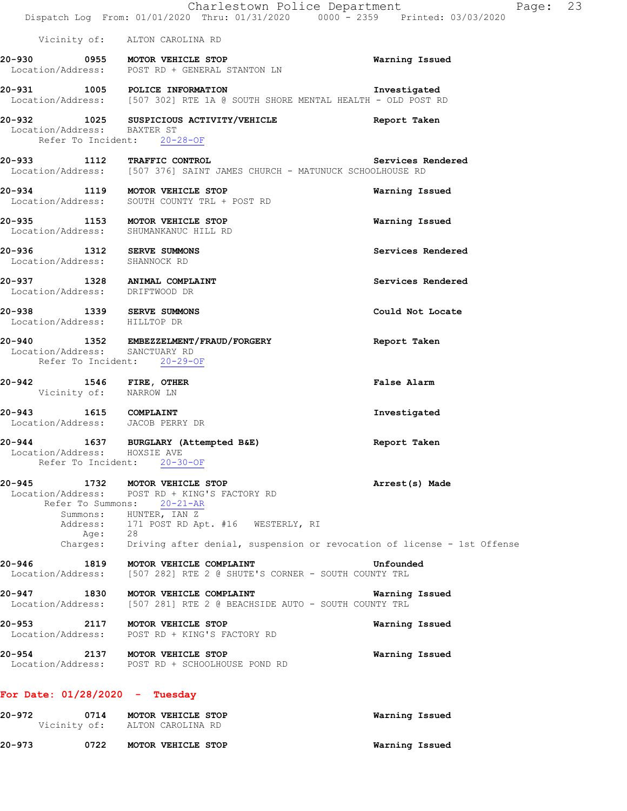|                                                                |              | Charlestown Police Department<br>Dispatch Log From: 01/01/2020 Thru: 01/31/2020 0000 - 2359 Printed: 03/03/2020                                                                                                                 | Page: 23          |
|----------------------------------------------------------------|--------------|---------------------------------------------------------------------------------------------------------------------------------------------------------------------------------------------------------------------------------|-------------------|
|                                                                |              | Vicinity of: ALTON CAROLINA RD                                                                                                                                                                                                  |                   |
|                                                                |              | 20-930 0955 MOTOR VEHICLE STOP<br>Location/Address: POST RD + GENERAL STANTON LN                                                                                                                                                | Warning Issued    |
|                                                                |              | 20-931 1005 POLICE INFORMATION<br>Location/Address: [507 302] RTE 1A @ SOUTH SHORE MENTAL HEALTH - OLD POST RD                                                                                                                  | Investigated      |
| Location/Address: BAXTER ST                                    |              | 20-932 1025 SUSPICIOUS ACTIVITY/VEHICLE<br>Refer To Incident: 20-28-OF                                                                                                                                                          | Report Taken      |
|                                                                |              | 20-933 1112 TRAFFIC CONTROL Services F<br>Location/Address: [507 376] SAINT JAMES CHURCH - MATUNUCK SCHOOLHOUSE RD                                                                                                              | Services Rendered |
|                                                                |              | 20-934 1119 MOTOR VEHICLE STOP<br>Location/Address: SOUTH COUNTY TRL + POST RD                                                                                                                                                  | Warning Issued    |
|                                                                |              | 20-935 1153 MOTOR VEHICLE STOP<br>Location/Address: SHUMANKANUC HILL RD                                                                                                                                                         | Warning Issued    |
| 20-936 1312 SERVE SUMMONS<br>Location/Address: SHANNOCK RD     |              |                                                                                                                                                                                                                                 | Services Rendered |
| 20-937 1328 ANIMAL COMPLAINT<br>Location/Address: DRIFTWOOD DR |              |                                                                                                                                                                                                                                 | Services Rendered |
| 20-938 1339 SERVE SUMMONS<br>Location/Address: HILLTOP DR      |              |                                                                                                                                                                                                                                 | Could Not Locate  |
| Location/Address: SANCTUARY RD                                 |              | 20-940 1352 EMBEZZELMENT/FRAUD/FORGERY<br>Refer To Incident: 20-29-OF                                                                                                                                                           | Report Taken      |
| 20-942 1546 FIRE, OTHER<br>Vicinity of: NARROW LN              |              |                                                                                                                                                                                                                                 | False Alarm       |
| 20-943 1615 COMPLAINT<br>Location/Address: JACOB PERRY DR      |              |                                                                                                                                                                                                                                 | Investigated      |
| Location/Address: HOXSIE AVE<br>Refer To Incident:             |              | 20-944 1637 BURGLARY (Attempted B&E)<br>$20 - 30 - OF$                                                                                                                                                                          | Report Taken      |
| 20-945<br>Location/Address:<br>Address:<br>Charges:            | 1732<br>Age: | MOTOR VEHICLE STOP<br>POST RD + KING'S FACTORY RD<br>Refer To Summons: 20-21-AR<br>Summons: HUNTER, IAN Z<br>171 POST RD Apt. #16 WESTERLY, RI<br>28<br>Driving after denial, suspension or revocation of license - 1st Offense | Arrest(s) Made    |
| 20-946<br>Location/Address:                                    | 1819         | MOTOR VEHICLE COMPLAINT<br>[507 282] RTE 2 @ SHUTE'S CORNER - SOUTH COUNTY TRL                                                                                                                                                  | Unfounded         |
| 20-947<br>Location/Address:                                    | 1830         | MOTOR VEHICLE COMPLAINT<br>[507 281] RTE 2 @ BEACHSIDE AUTO - SOUTH COUNTY TRL                                                                                                                                                  | Warning Issued    |
|                                                                |              | 20-953 2117 MOTOR VEHICLE STOP<br>Location/Address: POST RD + KING'S FACTORY RD                                                                                                                                                 | Warning Issued    |
| 20-954                                                         |              | 2137 MOTOR VEHICLE STOP<br>Location/Address: POST RD + SCHOOLHOUSE POND RD                                                                                                                                                      | Warning Issued    |
| For Date: $01/28/2020 - Tuesday$                               |              |                                                                                                                                                                                                                                 |                   |
| 20-972                                                         | 0714         | MOTOR VEHICLE STOP<br>Vicinity of: ALTON CAROLINA RD                                                                                                                                                                            | Warning Issued    |

**20-973 0722 MOTOR VEHICLE STOP Warning Issued**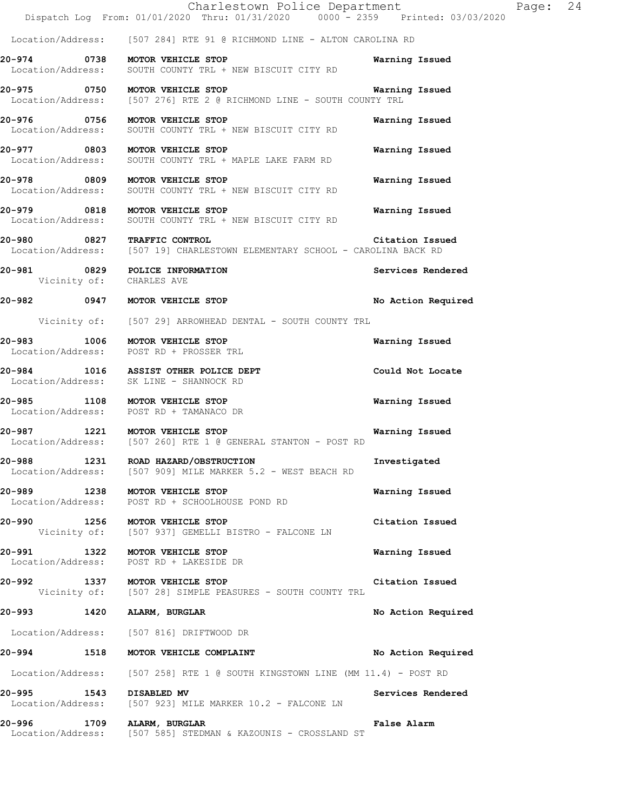|                                     | Charlestown Police Department<br>Dispatch Log From: 01/01/2020 Thru: 01/31/2020 0000 - 2359 Printed: 03/03/2020 |                    | Page: 24 |  |
|-------------------------------------|-----------------------------------------------------------------------------------------------------------------|--------------------|----------|--|
|                                     | Location/Address: [507 284] RTE 91 @ RICHMOND LINE - ALTON CAROLINA RD                                          |                    |          |  |
|                                     | 20-974 0738 MOTOR VEHICLE STOP<br>Location/Address: SOUTH COUNTY TRL + NEW BISCUIT CITY RD                      | Warning Issued     |          |  |
|                                     | 20-975 0750 MOTOR VEHICLE STOP<br>Location/Address: [507 276] RTE 2 @ RICHMOND LINE - SOUTH COUNTY TRL          | Warning Issued     |          |  |
|                                     | 20-976 0756 MOTOR VEHICLE STOP<br>Location/Address: SOUTH COUNTY TRL + NEW BISCUIT CITY RD                      | Warning Issued     |          |  |
|                                     | 20-977 0803 MOTOR VEHICLE STOP<br>Location/Address: SOUTH COUNTY TRL + MAPLE LAKE FARM RD                       | Warning Issued     |          |  |
|                                     | 20-978 0809 MOTOR VEHICLE STOP<br>Location/Address: SOUTH COUNTY TRL + NEW BISCUIT CITY RD                      | Warning Issued     |          |  |
|                                     | 20-979 0818 MOTOR VEHICLE STOP<br>Location/Address: SOUTH COUNTY TRL + NEW BISCUIT CITY RD                      | Warning Issued     |          |  |
|                                     | 20-980 0827 TRAFFIC CONTROL<br>Location/Address: [507 19] CHARLESTOWN ELEMENTARY SCHOOL - CAROLINA BACK RD      | Citation Issued    |          |  |
|                                     | 20-981 0829 POLICE INFORMATION<br>Vicinity of: CHARLES AVE                                                      | Services Rendered  |          |  |
|                                     | 20-982 0947 MOTOR VEHICLE STOP                                                                                  | No Action Required |          |  |
|                                     | Vicinity of: [507 29] ARROWHEAD DENTAL - SOUTH COUNTY TRL                                                       |                    |          |  |
|                                     | 20-983 1006 MOTOR VEHICLE STOP<br>Location/Address: POST RD + PROSSER TRL                                       | Warning Issued     |          |  |
|                                     | 20-984 1016 ASSIST OTHER POLICE DEPT<br>Location/Address: SK LINE - SHANNOCK RD                                 | Could Not Locate   |          |  |
|                                     | 20-985 1108 MOTOR VEHICLE STOP<br>Location/Address: POST RD + TAMANACO DR                                       | Warning Issued     |          |  |
|                                     | 20-987 1221 MOTOR VEHICLE STOP<br>Location/Address: [507 260] RTE 1 @ GENERAL STANTON - POST RD                 | Warning Issued     |          |  |
| Location/Address:                   | 20-988 1231 ROAD HAZARD/OBSTRUCTION<br>[507 909] MILE MARKER 5.2 - WEST BEACH RD                                | Investigated       |          |  |
| 20-989                              | 1238 MOTOR VEHICLE STOP<br>Location/Address: POST RD + SCHOOLHOUSE POND RD                                      | Warning Issued     |          |  |
|                                     | 20-990 1256 MOTOR VEHICLE STOP<br>Vicinity of: [507 937] GEMELLI BISTRO - FALCONE LN                            | Citation Issued    |          |  |
| 20-991<br>1322<br>Location/Address: | MOTOR VEHICLE STOP<br>POST RD + LAKESIDE DR                                                                     | Warning Issued     |          |  |
|                                     | 20-992 1337 MOTOR VEHICLE STOP<br>Vicinity of: [507 28] SIMPLE PEASURES - SOUTH COUNTY TRL                      | Citation Issued    |          |  |
| 20-993 1420 ALARM, BURGLAR          |                                                                                                                 | No Action Required |          |  |
|                                     | Location/Address: [507 816] DRIFTWOOD DR                                                                        |                    |          |  |
|                                     | 20-994 1518 MOTOR VEHICLE COMPLAINT                                                                             | No Action Required |          |  |
|                                     | Location/Address: [507 258] RTE 1 @ SOUTH KINGSTOWN LINE (MM 11.4) - POST RD                                    |                    |          |  |
| 20-995 1543 DISABLED MV             | Location/Address: [507 923] MILE MARKER 10.2 - FALCONE LN                                                       | Services Rendered  |          |  |
| 20-996<br>1709                      | ALARM, BURGLAR<br>Location/Address: [507 585] STEDMAN & KAZOUNIS - CROSSLAND ST                                 | False Alarm        |          |  |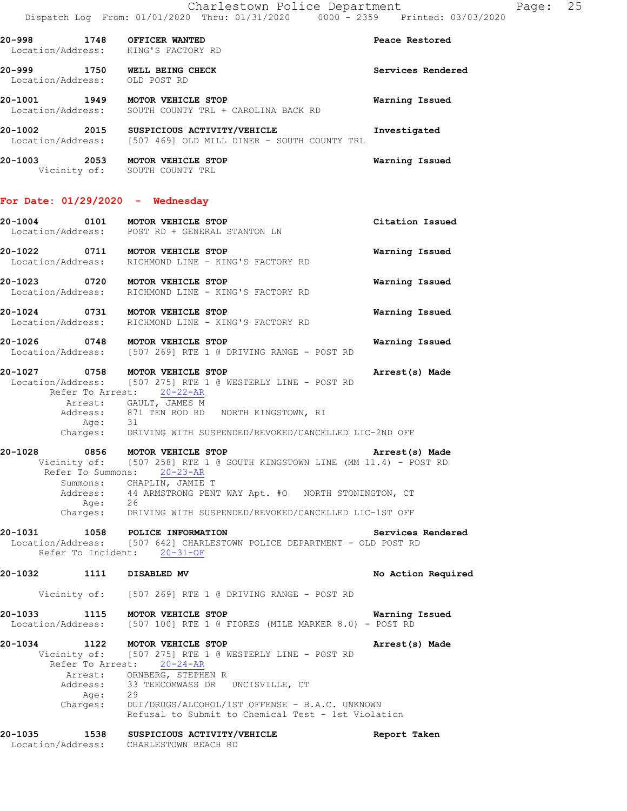**20-998 1748 OFFICER WANTED Peace Restored**  Location/Address: KING'S FACTORY RD **20-999 1750 WELL BEING CHECK Services Rendered**  Location/Address: OLD POST RD **20-1001 1949 MOTOR VEHICLE STOP Warning Issued**  Location/Address: SOUTH COUNTY TRL + CAROLINA BACK RD **20-1002 2015 SUSPICIOUS ACTIVITY/VEHICLE Investigated**  Location/Address: [507 469] OLD MILL DINER - SOUTH COUNTY TRL **20-1003 2053 MOTOR VEHICLE STOP Warning Issued**  Vicinity of: SOUTH COUNTY TRL **For Date: 01/29/2020 - Wednesday 20-1004 0101 MOTOR VEHICLE STOP Citation Issued**  Location/Address: POST RD + GENERAL STANTON LN **20-1022 0711 MOTOR VEHICLE STOP Warning Issued**  Location/Address: RICHMOND LINE - KING'S FACTORY RD **20-1023 0720 MOTOR VEHICLE STOP Warning Issued**  Location/Address: RICHMOND LINE - KING'S FACTORY RD **20-1024 0731 MOTOR VEHICLE STOP Warning Issued**  Location/Address: RICHMOND LINE - KING'S FACTORY RD **20-1026 0748 MOTOR VEHICLE STOP Warning Issued**  Location/Address: [507 269] RTE 1 @ DRIVING RANGE - POST RD **20-1027 0758 MOTOR VEHICLE STOP Arrest(s) Made**  Location/Address: [507 275] RTE 1 @ WESTERLY LINE - POST RD Refer To Arrest: 20-22-AR Arrest: GAULT, JAMES M Address: 871 TEN ROD RD NORTH KINGSTOWN, RI Age: 31<br>Charges: DRI DRIVING WITH SUSPENDED/REVOKED/CANCELLED LIC-2ND OFF **20-1028 0856 MOTOR VEHICLE STOP Arrest(s) Made**  Vicinity of: [507 258] RTE 1 @ SOUTH KINGSTOWN LINE (MM 11.4) - POST RD Refer To Summons: 20-23-AR Summons: CHAPLIN, JAMIE T Address: 44 ARMSTRONG PENT WAY Apt. #O NORTH STONINGTON, CT Age: 26 Charges: DRIVING WITH SUSPENDED/REVOKED/CANCELLED LIC-1ST OFF **20-1031 1058 POLICE INFORMATION Services Rendered**  Location/Address: [507 642] CHARLESTOWN POLICE DEPARTMENT - OLD POST RD Refer To Incident: 20-31-OF **20-1032 1111 DISABLED MV No Action Required**  Vicinity of: [507 269] RTE 1 @ DRIVING RANGE - POST RD **20-1033 1115 MOTOR VEHICLE STOP Warning Issued**  Location/Address: [507 100] RTE 1 @ FIORES (MILE MARKER 8.0) - POST RD **20-1034 1122 MOTOR VEHICLE STOP Arrest(s) Made**  Vicinity of: [507 275] RTE 1 @ WESTERLY LINE - POST RD Refer To Arrest: 20-24-AR Arrest: ORNBERG, STEPHEN R<br>Address: 33 TEECOMWASS DR 33 TEECOMWASS DR UNCISVILLE, CT<br>29  $A q e$ : Charges: DUI/DRUGS/ALCOHOL/1ST OFFENSE - B.A.C. UNKNOWN Refusal to Submit to Chemical Test - 1st Violation **20-1035 1538 SUSPICIOUS ACTIVITY/VEHICLE Report Taken**  Location/Address: CHARLESTOWN BEACH RD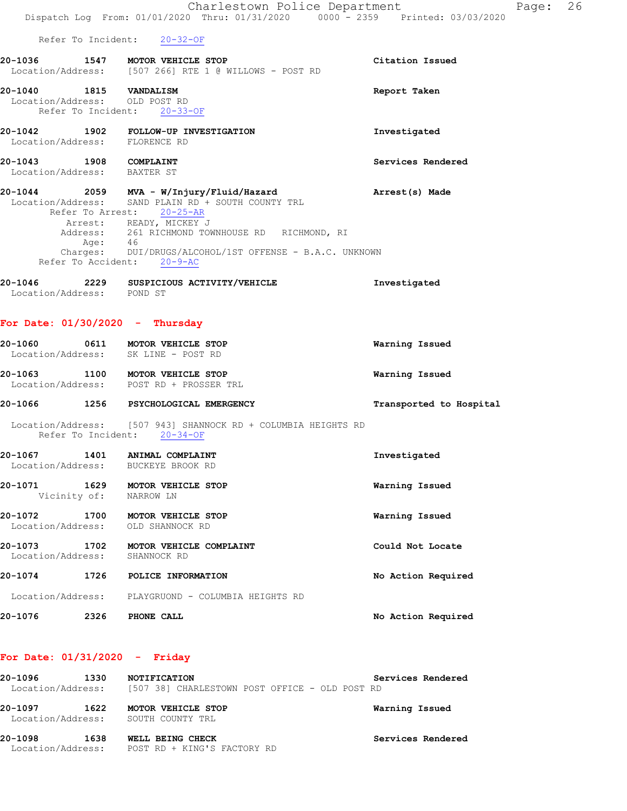|                                                       |              | Charlestown Police Department                                                                                                                                                                                                                                                                                 |                         | Page: 26 |
|-------------------------------------------------------|--------------|---------------------------------------------------------------------------------------------------------------------------------------------------------------------------------------------------------------------------------------------------------------------------------------------------------------|-------------------------|----------|
|                                                       |              | Dispatch Log From: 01/01/2020 Thru: 01/31/2020 0000 - 2359 Printed: 03/03/2020                                                                                                                                                                                                                                |                         |          |
|                                                       |              | Refer To Incident: 20-32-OF<br>20-1036 1547 MOTOR VEHICLE STOP                                                                                                                                                                                                                                                | Citation Issued         |          |
|                                                       |              | Location/Address: [507 266] RTE 1 @ WILLOWS - POST RD                                                                                                                                                                                                                                                         |                         |          |
| 20-1040 1815 VANDALISM                                |              | Location/Address: OLD POST RD<br>Refer To Incident: 20-33-OF                                                                                                                                                                                                                                                  | Report Taken            |          |
|                                                       |              | Location/Address: FLORENCE RD                                                                                                                                                                                                                                                                                 | Investigated            |          |
| 20-1043 1908 COMPLAINT<br>Location/Address: BAXTER ST |              |                                                                                                                                                                                                                                                                                                               | Services Rendered       |          |
|                                                       |              | 20-1044 2059 MVA - W/Injury/Fluid/Hazard<br>Location/Address: SAND PLAIN RD + SOUTH COUNTY TRL<br>Refer To Arrest: 20-25-AR<br>Arrest: READY, MICKEY J<br>Address: 261 RICHMOND TOWNHOUSE RD RICHMOND, RI<br>Age: 46<br>Charges: DUI/DRUGS/ALCOHOL/1ST OFFENSE - B.A.C. UNKNOWN<br>Refer To Accident: 20-9-AC | Arrest(s) Made          |          |
| Location/Address: POND ST                             |              | 20-1046 2229 SUSPICIOUS ACTIVITY/VEHICLE                                                                                                                                                                                                                                                                      | Investigated            |          |
|                                                       |              | For Date: $01/30/2020 -$ Thursday                                                                                                                                                                                                                                                                             |                         |          |
|                                                       |              | 20-1060 0611 MOTOR VEHICLE STOP<br>Location/Address: SK LINE - POST RD                                                                                                                                                                                                                                        | Warning Issued          |          |
|                                                       |              | 20-1063 1100 MOTOR VEHICLE STOP<br>Location/Address: POST RD + PROSSER TRL                                                                                                                                                                                                                                    | Warning Issued          |          |
|                                                       |              | 20-1066 1256 PSYCHOLOGICAL EMERGENCY                                                                                                                                                                                                                                                                          | Transported to Hospital |          |
|                                                       |              | Location/Address: [507 943] SHANNOCK RD + COLUMBIA HEIGHTS RD<br>Refer To Incident: 20-34-OF                                                                                                                                                                                                                  |                         |          |
| 20-1067<br>Location/Address:                          | 1401         | ANIMAL COMPLAINT<br>BUCKEYE BROOK RD                                                                                                                                                                                                                                                                          | Investigated            |          |
| 20-1071 1629                                          | Vicinity of: | MOTOR VEHICLE STOP<br>NARROW LN                                                                                                                                                                                                                                                                               | Warning Issued          |          |
| 20-1072 1700<br>Location/Address:                     |              | MOTOR VEHICLE STOP<br>OLD SHANNOCK RD                                                                                                                                                                                                                                                                         | Warning Issued          |          |
| 20-1073<br>Location/Address:                          | 1702         | MOTOR VEHICLE COMPLAINT<br>SHANNOCK RD                                                                                                                                                                                                                                                                        | Could Not Locate        |          |
| 20-1074 1726                                          |              | POLICE INFORMATION                                                                                                                                                                                                                                                                                            | No Action Required      |          |
|                                                       |              | Location/Address: PLAYGRUOND - COLUMBIA HEIGHTS RD                                                                                                                                                                                                                                                            |                         |          |
| 20-1076                                               | 2326         | PHONE CALL                                                                                                                                                                                                                                                                                                    | No Action Required      |          |
|                                                       |              |                                                                                                                                                                                                                                                                                                               |                         |          |

## **For Date: 01/31/2020 - Friday**

| 20-1096<br>Location/Address: | 1330 | <b>NOTIFICATION</b><br>[507 38] CHARLESTOWN POST OFFICE - OLD POST RD | Services Rendered |
|------------------------------|------|-----------------------------------------------------------------------|-------------------|
| 20-1097                      | 1622 | <b>MOTOR VEHICLE STOP</b><br>Location/Address: SOUTH COUNTY TRL       | Warning Issued    |
| 20-1098<br>Location/Address: | 1638 | WELL BEING CHECK<br>POST RD + KING'S FACTORY RD                       | Services Rendered |